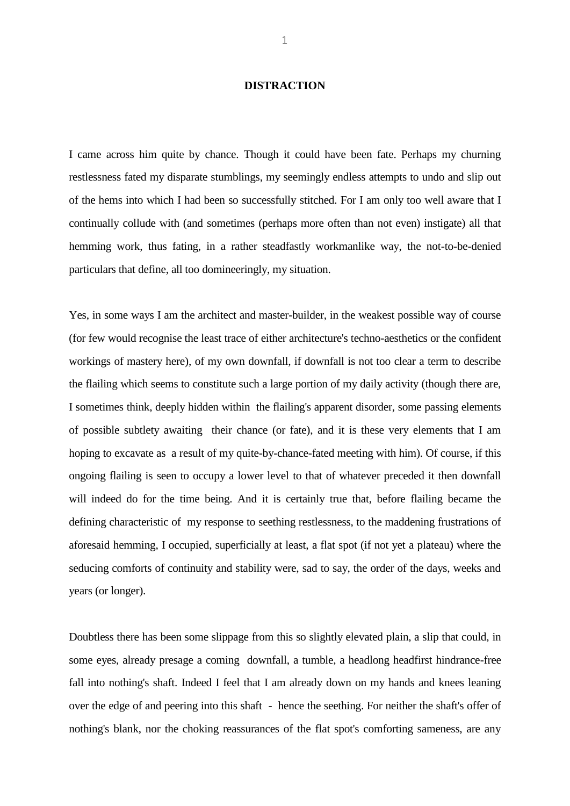## **DISTRACTION**

I came across him quite by chance. Though it could have been fate. Perhaps my churning restlessness fated my disparate stumblings, my seemingly endless attempts to undo and slip out of the hems into which I had been so successfully stitched. For I am only too well aware that I continually collude with (and sometimes (perhaps more often than not even) instigate) all that hemming work, thus fating, in a rather steadfastly workmanlike way, the not-to-be-denied particulars that define, all too domineeringly, my situation.

Yes, in some ways I am the architect and master-builder, in the weakest possible way of course (for few would recognise the least trace of either architecture's techno-aesthetics or the confident workings of mastery here), of my own downfall, if downfall is not too clear a term to describe the flailing which seems to constitute such a large portion of my daily activity (though there are, I sometimes think, deeply hidden within the flailing's apparent disorder, some passing elements of possible subtlety awaiting their chance (or fate), and it is these very elements that I am hoping to excavate as a result of my quite-by-chance-fated meeting with him). Of course, if this ongoing flailing is seen to occupy a lower level to that of whatever preceded it then downfall will indeed do for the time being. And it is certainly true that, before flailing became the defining characteristic of my response to seething restlessness, to the maddening frustrations of aforesaid hemming, I occupied, superficially at least, a flat spot (if not yet a plateau) where the seducing comforts of continuity and stability were, sad to say, the order of the days, weeks and years (or longer).

Doubtless there has been some slippage from this so slightly elevated plain, a slip that could, in some eyes, already presage a coming downfall, a tumble, a headlong headfirst hindrance-free fall into nothing's shaft. Indeed I feel that I am already down on my hands and knees leaning over the edge of and peering into this shaft - hence the seething. For neither the shaft's offer of nothing's blank, nor the choking reassurances of the flat spot's comforting sameness, are any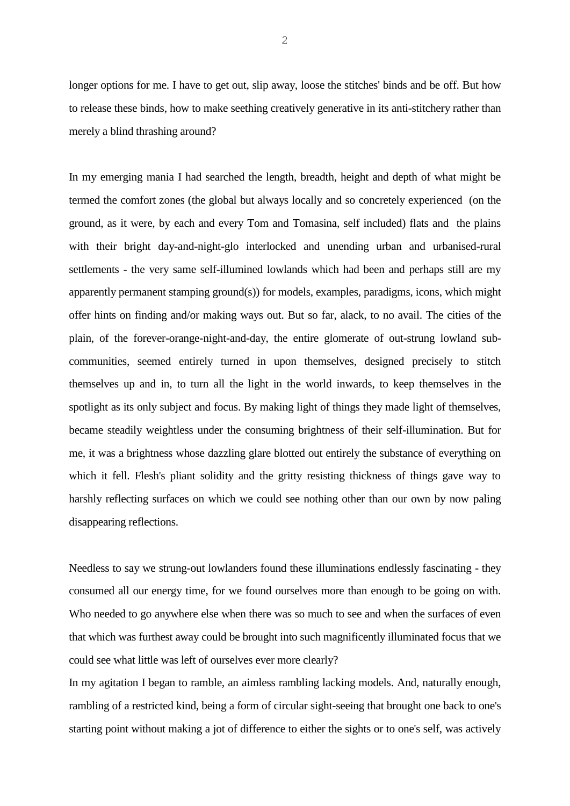longer options for me. I have to get out, slip away, loose the stitches' binds and be off. But how to release these binds, how to make seething creatively generative in its anti-stitchery rather than merely a blind thrashing around?

In my emerging mania I had searched the length, breadth, height and depth of what might be termed the comfort zones (the global but always locally and so concretely experienced (on the ground, as it were, by each and every Tom and Tomasina, self included) flats and the plains with their bright day-and-night-glo interlocked and unending urban and urbanised-rural settlements - the very same self-illumined lowlands which had been and perhaps still are my apparently permanent stamping ground(s)) for models, examples, paradigms, icons, which might offer hints on finding and/or making ways out. But so far, alack, to no avail. The cities of the plain, of the forever-orange-night-and-day, the entire glomerate of out-strung lowland subcommunities, seemed entirely turned in upon themselves, designed precisely to stitch themselves up and in, to turn all the light in the world inwards, to keep themselves in the spotlight as its only subject and focus. By making light of things they made light of themselves, became steadily weightless under the consuming brightness of their self-illumination. But for me, it was a brightness whose dazzling glare blotted out entirely the substance of everything on which it fell. Flesh's pliant solidity and the gritty resisting thickness of things gave way to harshly reflecting surfaces on which we could see nothing other than our own by now paling disappearing reflections.

Needless to say we strung-out lowlanders found these illuminations endlessly fascinating - they consumed all our energy time, for we found ourselves more than enough to be going on with. Who needed to go anywhere else when there was so much to see and when the surfaces of even that which was furthest away could be brought into such magnificently illuminated focus that we could see what little was left of ourselves ever more clearly?

In my agitation I began to ramble, an aimless rambling lacking models. And, naturally enough, rambling of a restricted kind, being a form of circular sight-seeing that brought one back to one's starting point without making a jot of difference to either the sights or to one's self, was actively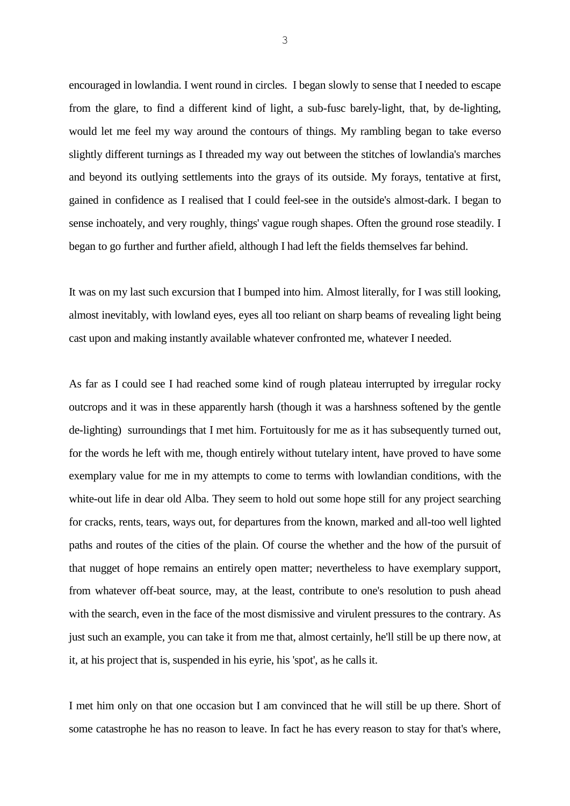encouraged in lowlandia. I went round in circles. I began slowly to sense that I needed to escape from the glare, to find a different kind of light, a sub-fusc barely-light, that, by de-lighting, would let me feel my way around the contours of things. My rambling began to take everso slightly different turnings as I threaded my way out between the stitches of lowlandia's marches and beyond its outlying settlements into the grays of its outside. My forays, tentative at first, gained in confidence as I realised that I could feel-see in the outside's almost-dark. I began to sense inchoately, and very roughly, things' vague rough shapes. Often the ground rose steadily. I began to go further and further afield, although I had left the fields themselves far behind.

It was on my last such excursion that I bumped into him. Almost literally, for I was still looking, almost inevitably, with lowland eyes, eyes all too reliant on sharp beams of revealing light being cast upon and making instantly available whatever confronted me, whatever I needed.

As far as I could see I had reached some kind of rough plateau interrupted by irregular rocky outcrops and it was in these apparently harsh (though it was a harshness softened by the gentle de-lighting) surroundings that I met him. Fortuitously for me as it has subsequently turned out, for the words he left with me, though entirely without tutelary intent, have proved to have some exemplary value for me in my attempts to come to terms with lowlandian conditions, with the white-out life in dear old Alba. They seem to hold out some hope still for any project searching for cracks, rents, tears, ways out, for departures from the known, marked and all-too well lighted paths and routes of the cities of the plain. Of course the whether and the how of the pursuit of that nugget of hope remains an entirely open matter; nevertheless to have exemplary support, from whatever off-beat source, may, at the least, contribute to one's resolution to push ahead with the search, even in the face of the most dismissive and virulent pressures to the contrary. As just such an example, you can take it from me that, almost certainly, he'll still be up there now, at it, at his project that is, suspended in his eyrie, his 'spot', as he calls it.

I met him only on that one occasion but I am convinced that he will still be up there. Short of some catastrophe he has no reason to leave. In fact he has every reason to stay for that's where,

3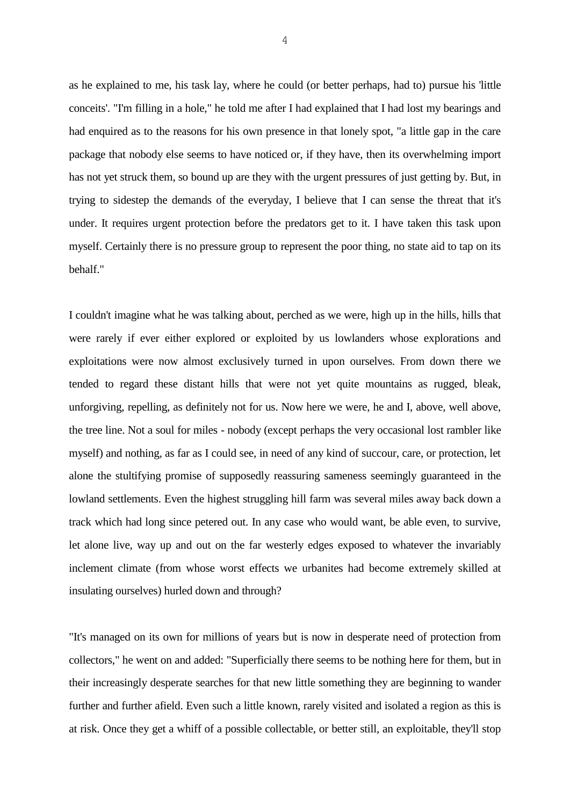as he explained to me, his task lay, where he could (or better perhaps, had to) pursue his 'little conceits'. "I'm filling in a hole," he told me after I had explained that I had lost my bearings and had enquired as to the reasons for his own presence in that lonely spot, "a little gap in the care package that nobody else seems to have noticed or, if they have, then its overwhelming import has not yet struck them, so bound up are they with the urgent pressures of just getting by. But, in trying to sidestep the demands of the everyday, I believe that I can sense the threat that it's under. It requires urgent protection before the predators get to it. I have taken this task upon myself. Certainly there is no pressure group to represent the poor thing, no state aid to tap on its behalf."

I couldn't imagine what he was talking about, perched as we were, high up in the hills, hills that were rarely if ever either explored or exploited by us lowlanders whose explorations and exploitations were now almost exclusively turned in upon ourselves. From down there we tended to regard these distant hills that were not yet quite mountains as rugged, bleak, unforgiving, repelling, as definitely not for us. Now here we were, he and I, above, well above, the tree line. Not a soul for miles - nobody (except perhaps the very occasional lost rambler like myself) and nothing, as far as I could see, in need of any kind of succour, care, or protection, let alone the stultifying promise of supposedly reassuring sameness seemingly guaranteed in the lowland settlements. Even the highest struggling hill farm was several miles away back down a track which had long since petered out. In any case who would want, be able even, to survive, let alone live, way up and out on the far westerly edges exposed to whatever the invariably inclement climate (from whose worst effects we urbanites had become extremely skilled at insulating ourselves) hurled down and through?

"It's managed on its own for millions of years but is now in desperate need of protection from collectors," he went on and added: "Superficially there seems to be nothing here for them, but in their increasingly desperate searches for that new little something they are beginning to wander further and further afield. Even such a little known, rarely visited and isolated a region as this is at risk. Once they get a whiff of a possible collectable, or better still, an exploitable, they'll stop

4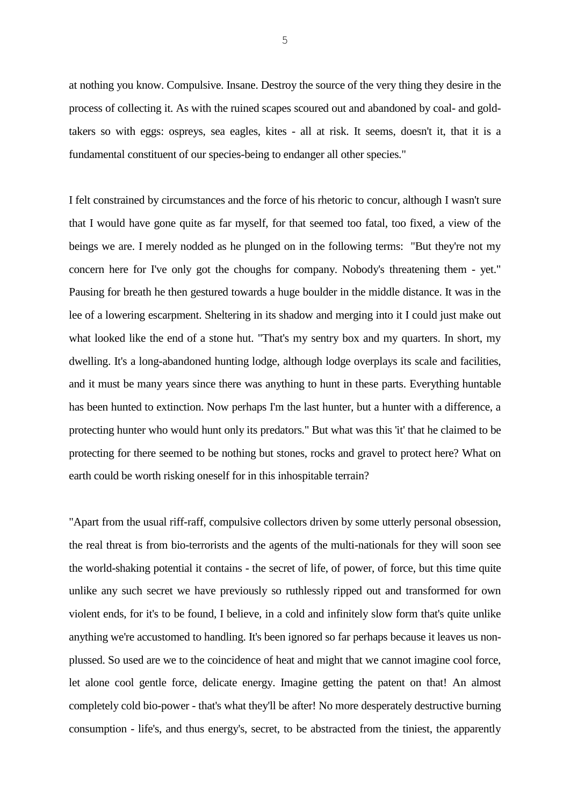at nothing you know. Compulsive. Insane. Destroy the source of the very thing they desire in the process of collecting it. As with the ruined scapes scoured out and abandoned by coal- and goldtakers so with eggs: ospreys, sea eagles, kites - all at risk. It seems, doesn't it, that it is a fundamental constituent of our species-being to endanger all other species."

I felt constrained by circumstances and the force of his rhetoric to concur, although I wasn't sure that I would have gone quite as far myself, for that seemed too fatal, too fixed, a view of the beings we are. I merely nodded as he plunged on in the following terms: "But they're not my concern here for I've only got the choughs for company. Nobody's threatening them - yet." Pausing for breath he then gestured towards a huge boulder in the middle distance. It was in the lee of a lowering escarpment. Sheltering in its shadow and merging into it I could just make out what looked like the end of a stone hut. "That's my sentry box and my quarters. In short, my dwelling. It's a long-abandoned hunting lodge, although lodge overplays its scale and facilities, and it must be many years since there was anything to hunt in these parts. Everything huntable has been hunted to extinction. Now perhaps I'm the last hunter, but a hunter with a difference, a protecting hunter who would hunt only its predators." But what was this 'it' that he claimed to be protecting for there seemed to be nothing but stones, rocks and gravel to protect here? What on earth could be worth risking oneself for in this inhospitable terrain?

"Apart from the usual riff-raff, compulsive collectors driven by some utterly personal obsession, the real threat is from bio-terrorists and the agents of the multi-nationals for they will soon see the world-shaking potential it contains - the secret of life, of power, of force, but this time quite unlike any such secret we have previously so ruthlessly ripped out and transformed for own violent ends, for it's to be found, I believe, in a cold and infinitely slow form that's quite unlike anything we're accustomed to handling. It's been ignored so far perhaps because it leaves us nonplussed. So used are we to the coincidence of heat and might that we cannot imagine cool force, let alone cool gentle force, delicate energy. Imagine getting the patent on that! An almost completely cold bio-power - that's what they'll be after! No more desperately destructive burning consumption - life's, and thus energy's, secret, to be abstracted from the tiniest, the apparently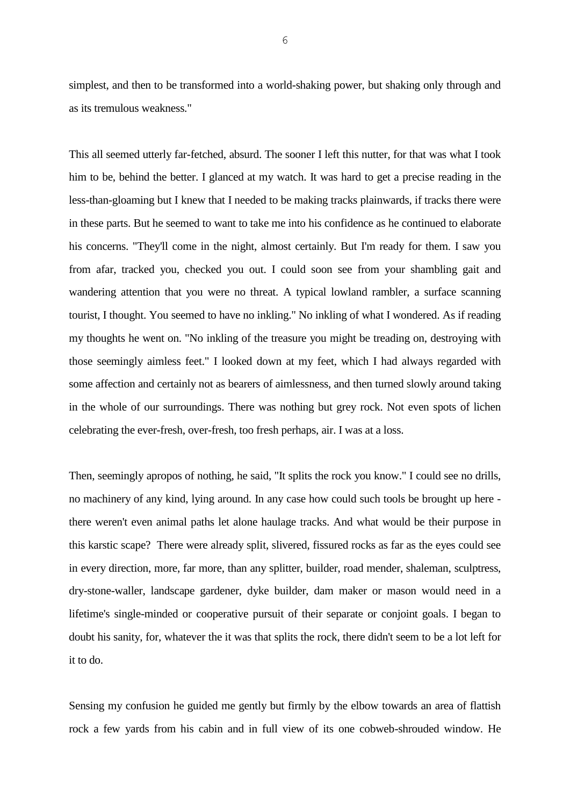simplest, and then to be transformed into a world-shaking power, but shaking only through and as its tremulous weakness."

This all seemed utterly far-fetched, absurd. The sooner I left this nutter, for that was what I took him to be, behind the better. I glanced at my watch. It was hard to get a precise reading in the less-than-gloaming but I knew that I needed to be making tracks plainwards, if tracks there were in these parts. But he seemed to want to take me into his confidence as he continued to elaborate his concerns. "They'll come in the night, almost certainly. But I'm ready for them. I saw you from afar, tracked you, checked you out. I could soon see from your shambling gait and wandering attention that you were no threat. A typical lowland rambler, a surface scanning tourist, I thought. You seemed to have no inkling." No inkling of what I wondered. As if reading my thoughts he went on. "No inkling of the treasure you might be treading on, destroying with those seemingly aimless feet." I looked down at my feet, which I had always regarded with some affection and certainly not as bearers of aimlessness, and then turned slowly around taking in the whole of our surroundings. There was nothing but grey rock. Not even spots of lichen celebrating the ever-fresh, over-fresh, too fresh perhaps, air. I was at a loss.

Then, seemingly apropos of nothing, he said, "It splits the rock you know." I could see no drills, no machinery of any kind, lying around. In any case how could such tools be brought up here there weren't even animal paths let alone haulage tracks. And what would be their purpose in this karstic scape? There were already split, slivered, fissured rocks as far as the eyes could see in every direction, more, far more, than any splitter, builder, road mender, shaleman, sculptress, dry-stone-waller, landscape gardener, dyke builder, dam maker or mason would need in a lifetime's single-minded or cooperative pursuit of their separate or conjoint goals. I began to doubt his sanity, for, whatever the it was that splits the rock, there didn't seem to be a lot left for it to do.

Sensing my confusion he guided me gently but firmly by the elbow towards an area of flattish rock a few yards from his cabin and in full view of its one cobweb-shrouded window. He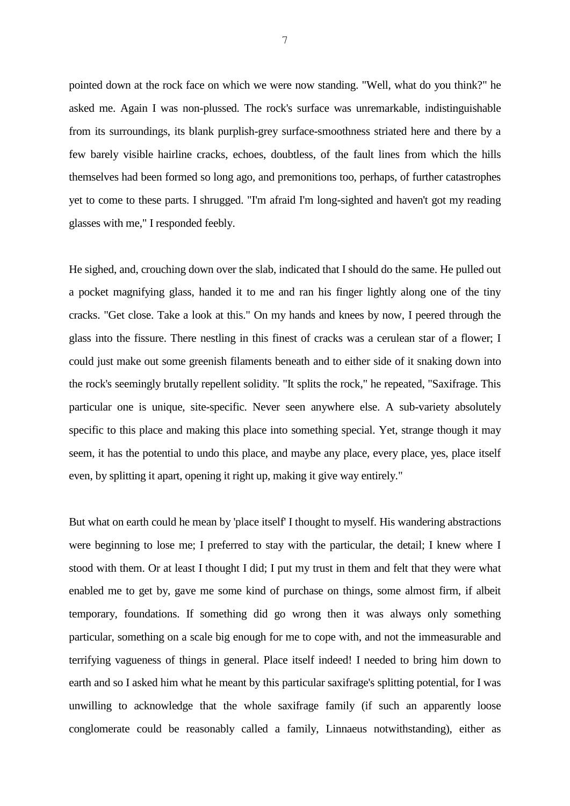pointed down at the rock face on which we were now standing. "Well, what do you think?" he asked me. Again I was non-plussed. The rock's surface was unremarkable, indistinguishable from its surroundings, its blank purplish-grey surface-smoothness striated here and there by a few barely visible hairline cracks, echoes, doubtless, of the fault lines from which the hills themselves had been formed so long ago, and premonitions too, perhaps, of further catastrophes yet to come to these parts. I shrugged. "I'm afraid I'm long-sighted and haven't got my reading glasses with me," I responded feebly.

He sighed, and, crouching down over the slab, indicated that I should do the same. He pulled out a pocket magnifying glass, handed it to me and ran his finger lightly along one of the tiny cracks. "Get close. Take a look at this." On my hands and knees by now, I peered through the glass into the fissure. There nestling in this finest of cracks was a cerulean star of a flower; I could just make out some greenish filaments beneath and to either side of it snaking down into the rock's seemingly brutally repellent solidity. "It splits the rock," he repeated, "Saxifrage. This particular one is unique, site-specific. Never seen anywhere else. A sub-variety absolutely specific to this place and making this place into something special. Yet, strange though it may seem, it has the potential to undo this place, and maybe any place, every place, yes, place itself even, by splitting it apart, opening it right up, making it give way entirely."

But what on earth could he mean by 'place itself' I thought to myself. His wandering abstractions were beginning to lose me; I preferred to stay with the particular, the detail; I knew where I stood with them. Or at least I thought I did; I put my trust in them and felt that they were what enabled me to get by, gave me some kind of purchase on things, some almost firm, if albeit temporary, foundations. If something did go wrong then it was always only something particular, something on a scale big enough for me to cope with, and not the immeasurable and terrifying vagueness of things in general. Place itself indeed! I needed to bring him down to earth and so I asked him what he meant by this particular saxifrage's splitting potential, for I was unwilling to acknowledge that the whole saxifrage family (if such an apparently loose conglomerate could be reasonably called a family, Linnaeus notwithstanding), either as

7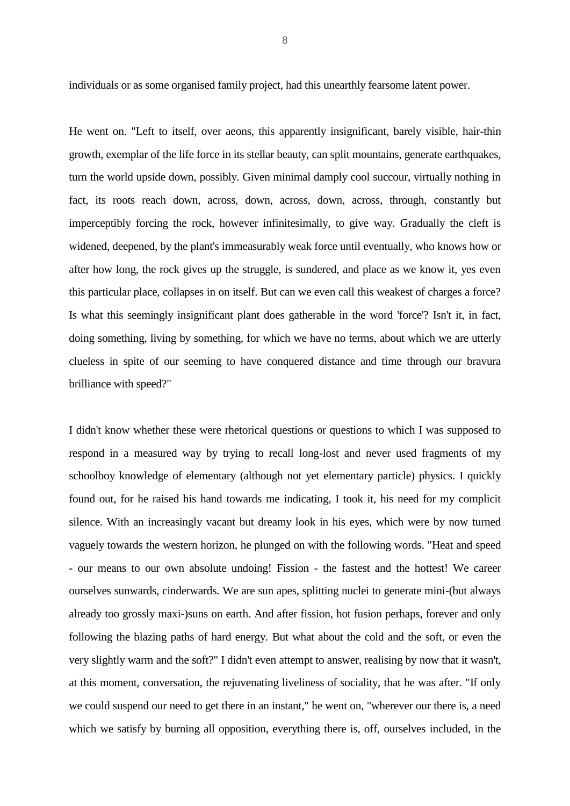individuals or as some organised family project, had this unearthly fearsome latent power.

He went on. "Left to itself, over aeons, this apparently insignificant, barely visible, hair-thin growth, exemplar of the life force in its stellar beauty, can split mountains, generate earthquakes, turn the world upside down, possibly. Given minimal damply cool succour, virtually nothing in fact, its roots reach down, across, down, across, down, across, through, constantly but imperceptibly forcing the rock, however infinitesimally, to give way. Gradually the cleft is widened, deepened, by the plant's immeasurably weak force until eventually, who knows how or after how long, the rock gives up the struggle, is sundered, and place as we know it, yes even this particular place, collapses in on itself. But can we even call this weakest of charges a force? Is what this seemingly insignificant plant does gatherable in the word 'force'? Isn't it, in fact, doing something, living by something, for which we have no terms, about which we are utterly clueless in spite of our seeming to have conquered distance and time through our bravura brilliance with speed?"

I didn't know whether these were rhetorical questions or questions to which I was supposed to respond in a measured way by trying to recall long-lost and never used fragments of my schoolboy knowledge of elementary (although not yet elementary particle) physics. I quickly found out, for he raised his hand towards me indicating, I took it, his need for my complicit silence. With an increasingly vacant but dreamy look in his eyes, which were by now turned vaguely towards the western horizon, he plunged on with the following words. "Heat and speed - our means to our own absolute undoing! Fission - the fastest and the hottest! We career ourselves sunwards, cinderwards. We are sun apes, splitting nuclei to generate mini-(but always already too grossly maxi-)suns on earth. And after fission, hot fusion perhaps, forever and only following the blazing paths of hard energy. But what about the cold and the soft, or even the very slightly warm and the soft?" I didn't even attempt to answer, realising by now that it wasn't, at this moment, conversation, the rejuvenating liveliness of sociality, that he was after. "If only we could suspend our need to get there in an instant," he went on, "wherever our there is, a need which we satisfy by burning all opposition, everything there is, off, ourselves included, in the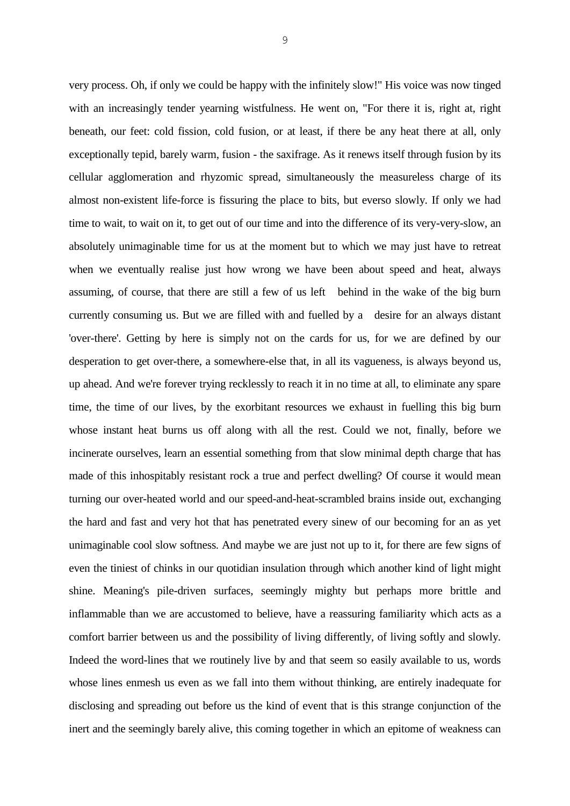very process. Oh, if only we could be happy with the infinitely slow!" His voice was now tinged with an increasingly tender yearning wistfulness. He went on, "For there it is, right at, right beneath, our feet: cold fission, cold fusion, or at least, if there be any heat there at all, only exceptionally tepid, barely warm, fusion - the saxifrage. As it renews itself through fusion by its cellular agglomeration and rhyzomic spread, simultaneously the measureless charge of its almost non-existent life-force is fissuring the place to bits, but everso slowly. If only we had time to wait, to wait on it, to get out of our time and into the difference of its very-very-slow, an absolutely unimaginable time for us at the moment but to which we may just have to retreat when we eventually realise just how wrong we have been about speed and heat, always assuming, of course, that there are still a few of us left behind in the wake of the big burn currently consuming us. But we are filled with and fuelled by a desire for an always distant 'over-there'. Getting by here is simply not on the cards for us, for we are defined by our desperation to get over-there, a somewhere-else that, in all its vagueness, is always beyond us, up ahead. And we're forever trying recklessly to reach it in no time at all, to eliminate any spare time, the time of our lives, by the exorbitant resources we exhaust in fuelling this big burn whose instant heat burns us off along with all the rest. Could we not, finally, before we incinerate ourselves, learn an essential something from that slow minimal depth charge that has made of this inhospitably resistant rock a true and perfect dwelling? Of course it would mean turning our over-heated world and our speed-and-heat-scrambled brains inside out, exchanging the hard and fast and very hot that has penetrated every sinew of our becoming for an as yet unimaginable cool slow softness. And maybe we are just not up to it, for there are few signs of even the tiniest of chinks in our quotidian insulation through which another kind of light might shine. Meaning's pile-driven surfaces, seemingly mighty but perhaps more brittle and inflammable than we are accustomed to believe, have a reassuring familiarity which acts as a comfort barrier between us and the possibility of living differently, of living softly and slowly. Indeed the word-lines that we routinely live by and that seem so easily available to us, words whose lines enmesh us even as we fall into them without thinking, are entirely inadequate for disclosing and spreading out before us the kind of event that is this strange conjunction of the inert and the seemingly barely alive, this coming together in which an epitome of weakness can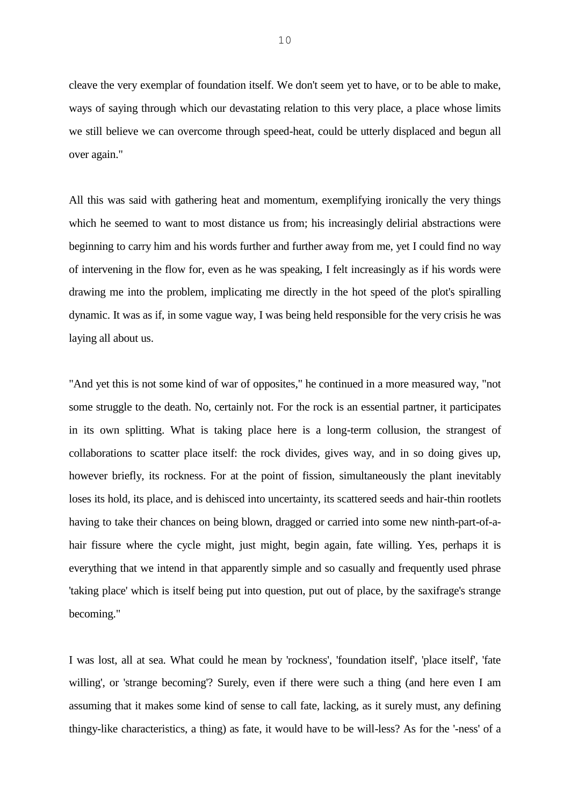cleave the very exemplar of foundation itself. We don't seem yet to have, or to be able to make, ways of saying through which our devastating relation to this very place, a place whose limits we still believe we can overcome through speed-heat, could be utterly displaced and begun all over again."

All this was said with gathering heat and momentum, exemplifying ironically the very things which he seemed to want to most distance us from; his increasingly delirial abstractions were beginning to carry him and his words further and further away from me, yet I could find no way of intervening in the flow for, even as he was speaking, I felt increasingly as if his words were drawing me into the problem, implicating me directly in the hot speed of the plot's spiralling dynamic. It was as if, in some vague way, I was being held responsible for the very crisis he was laying all about us.

"And yet this is not some kind of war of opposites," he continued in a more measured way, "not some struggle to the death. No, certainly not. For the rock is an essential partner, it participates in its own splitting. What is taking place here is a long-term collusion, the strangest of collaborations to scatter place itself: the rock divides, gives way, and in so doing gives up, however briefly, its rockness. For at the point of fission, simultaneously the plant inevitably loses its hold, its place, and is dehisced into uncertainty, its scattered seeds and hair-thin rootlets having to take their chances on being blown, dragged or carried into some new ninth-part-of-ahair fissure where the cycle might, just might, begin again, fate willing. Yes, perhaps it is everything that we intend in that apparently simple and so casually and frequently used phrase 'taking place' which is itself being put into question, put out of place, by the saxifrage's strange becoming."

I was lost, all at sea. What could he mean by 'rockness', 'foundation itself', 'place itself', 'fate willing', or 'strange becoming'? Surely, even if there were such a thing (and here even I am assuming that it makes some kind of sense to call fate, lacking, as it surely must, any defining thingy-like characteristics, a thing) as fate, it would have to be will-less? As for the '-ness' of a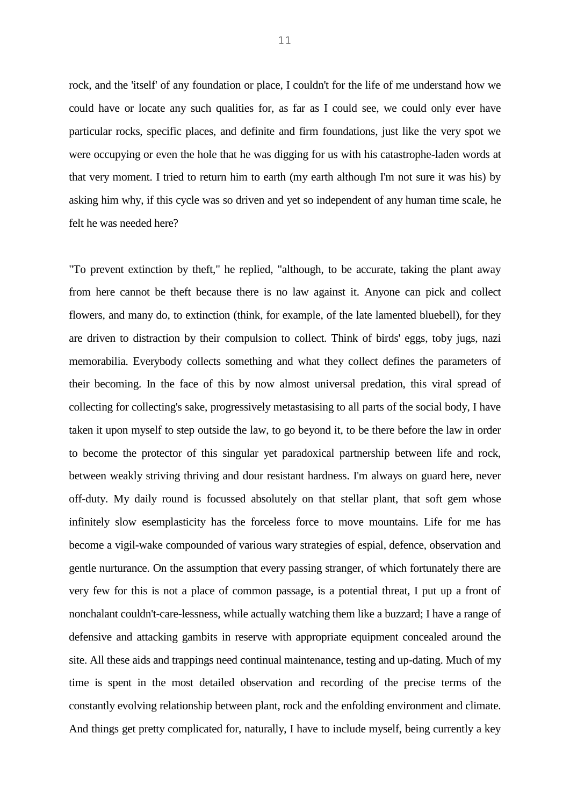rock, and the 'itself' of any foundation or place, I couldn't for the life of me understand how we could have or locate any such qualities for, as far as I could see, we could only ever have particular rocks, specific places, and definite and firm foundations, just like the very spot we were occupying or even the hole that he was digging for us with his catastrophe-laden words at that very moment. I tried to return him to earth (my earth although I'm not sure it was his) by asking him why, if this cycle was so driven and yet so independent of any human time scale, he felt he was needed here?

"To prevent extinction by theft," he replied, "although, to be accurate, taking the plant away from here cannot be theft because there is no law against it. Anyone can pick and collect flowers, and many do, to extinction (think, for example, of the late lamented bluebell), for they are driven to distraction by their compulsion to collect. Think of birds' eggs, toby jugs, nazi memorabilia. Everybody collects something and what they collect defines the parameters of their becoming. In the face of this by now almost universal predation, this viral spread of collecting for collecting's sake, progressively metastasising to all parts of the social body, I have taken it upon myself to step outside the law, to go beyond it, to be there before the law in order to become the protector of this singular yet paradoxical partnership between life and rock, between weakly striving thriving and dour resistant hardness. I'm always on guard here, never off-duty. My daily round is focussed absolutely on that stellar plant, that soft gem whose infinitely slow esemplasticity has the forceless force to move mountains. Life for me has become a vigil-wake compounded of various wary strategies of espial, defence, observation and gentle nurturance. On the assumption that every passing stranger, of which fortunately there are very few for this is not a place of common passage, is a potential threat, I put up a front of nonchalant couldn't-care-lessness, while actually watching them like a buzzard; I have a range of defensive and attacking gambits in reserve with appropriate equipment concealed around the site. All these aids and trappings need continual maintenance, testing and up-dating. Much of my time is spent in the most detailed observation and recording of the precise terms of the constantly evolving relationship between plant, rock and the enfolding environment and climate. And things get pretty complicated for, naturally, I have to include myself, being currently a key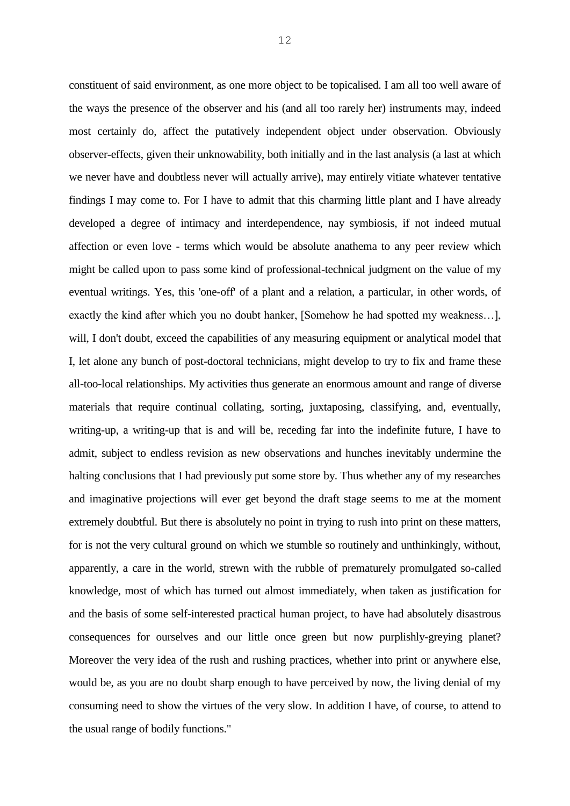constituent of said environment, as one more object to be topicalised. I am all too well aware of the ways the presence of the observer and his (and all too rarely her) instruments may, indeed most certainly do, affect the putatively independent object under observation. Obviously observer-effects, given their unknowability, both initially and in the last analysis (a last at which we never have and doubtless never will actually arrive), may entirely vitiate whatever tentative findings I may come to. For I have to admit that this charming little plant and I have already developed a degree of intimacy and interdependence, nay symbiosis, if not indeed mutual affection or even love - terms which would be absolute anathema to any peer review which might be called upon to pass some kind of professional-technical judgment on the value of my eventual writings. Yes, this 'one-off' of a plant and a relation, a particular, in other words, of exactly the kind after which you no doubt hanker, [Somehow he had spotted my weakness…], will, I don't doubt, exceed the capabilities of any measuring equipment or analytical model that I, let alone any bunch of post-doctoral technicians, might develop to try to fix and frame these all-too-local relationships. My activities thus generate an enormous amount and range of diverse materials that require continual collating, sorting, juxtaposing, classifying, and, eventually, writing-up, a writing-up that is and will be, receding far into the indefinite future, I have to admit, subject to endless revision as new observations and hunches inevitably undermine the halting conclusions that I had previously put some store by. Thus whether any of my researches and imaginative projections will ever get beyond the draft stage seems to me at the moment extremely doubtful. But there is absolutely no point in trying to rush into print on these matters, for is not the very cultural ground on which we stumble so routinely and unthinkingly, without, apparently, a care in the world, strewn with the rubble of prematurely promulgated so-called knowledge, most of which has turned out almost immediately, when taken as justification for and the basis of some self-interested practical human project, to have had absolutely disastrous consequences for ourselves and our little once green but now purplishly-greying planet? Moreover the very idea of the rush and rushing practices, whether into print or anywhere else, would be, as you are no doubt sharp enough to have perceived by now, the living denial of my consuming need to show the virtues of the very slow. In addition I have, of course, to attend to the usual range of bodily functions."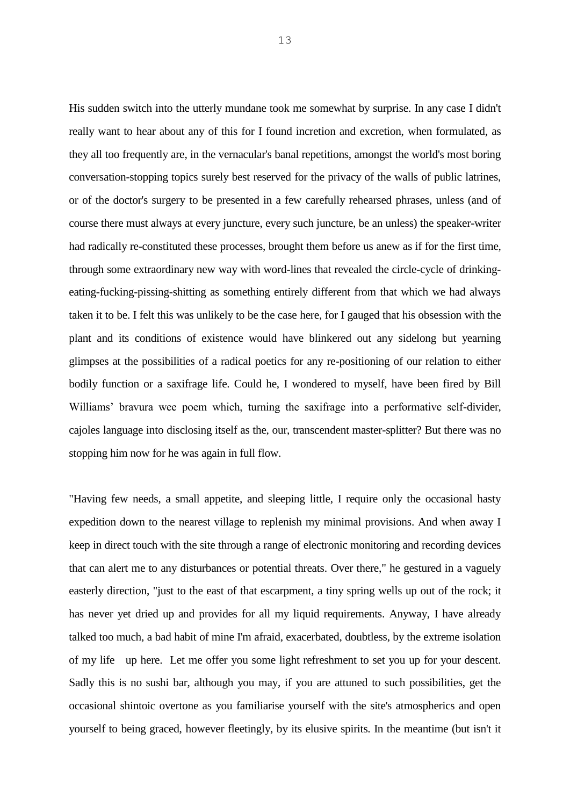His sudden switch into the utterly mundane took me somewhat by surprise. In any case I didn't really want to hear about any of this for I found incretion and excretion, when formulated, as they all too frequently are, in the vernacular's banal repetitions, amongst the world's most boring conversation-stopping topics surely best reserved for the privacy of the walls of public latrines, or of the doctor's surgery to be presented in a few carefully rehearsed phrases, unless (and of course there must always at every juncture, every such juncture, be an unless) the speaker-writer had radically re-constituted these processes, brought them before us anew as if for the first time, through some extraordinary new way with word-lines that revealed the circle-cycle of drinkingeating-fucking-pissing-shitting as something entirely different from that which we had always taken it to be. I felt this was unlikely to be the case here, for I gauged that his obsession with the plant and its conditions of existence would have blinkered out any sidelong but yearning glimpses at the possibilities of a radical poetics for any re-positioning of our relation to either bodily function or a saxifrage life. Could he, I wondered to myself, have been fired by Bill Williams' bravura wee poem which, turning the saxifrage into a performative self-divider, cajoles language into disclosing itself as the, our, transcendent master-splitter? But there was no stopping him now for he was again in full flow.

"Having few needs, a small appetite, and sleeping little, I require only the occasional hasty expedition down to the nearest village to replenish my minimal provisions. And when away I keep in direct touch with the site through a range of electronic monitoring and recording devices that can alert me to any disturbances or potential threats. Over there," he gestured in a vaguely easterly direction, "just to the east of that escarpment, a tiny spring wells up out of the rock; it has never yet dried up and provides for all my liquid requirements. Anyway, I have already talked too much, a bad habit of mine I'm afraid, exacerbated, doubtless, by the extreme isolation of my life up here. Let me offer you some light refreshment to set you up for your descent. Sadly this is no sushi bar, although you may, if you are attuned to such possibilities, get the occasional shintoic overtone as you familiarise yourself with the site's atmospherics and open yourself to being graced, however fleetingly, by its elusive spirits. In the meantime (but isn't it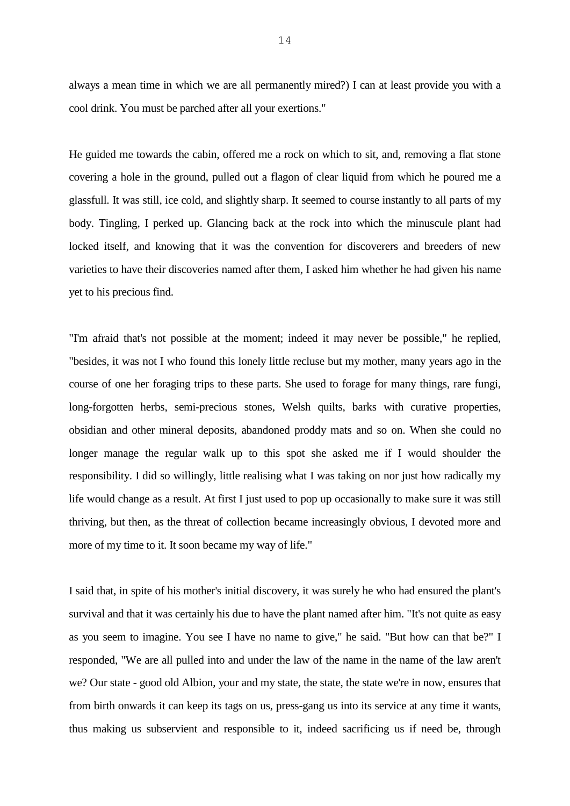always a mean time in which we are all permanently mired?) I can at least provide you with a cool drink. You must be parched after all your exertions."

He guided me towards the cabin, offered me a rock on which to sit, and, removing a flat stone covering a hole in the ground, pulled out a flagon of clear liquid from which he poured me a glassfull. It was still, ice cold, and slightly sharp. It seemed to course instantly to all parts of my body. Tingling, I perked up. Glancing back at the rock into which the minuscule plant had locked itself, and knowing that it was the convention for discoverers and breeders of new varieties to have their discoveries named after them, I asked him whether he had given his name yet to his precious find.

"I'm afraid that's not possible at the moment; indeed it may never be possible," he replied, "besides, it was not I who found this lonely little recluse but my mother, many years ago in the course of one her foraging trips to these parts. She used to forage for many things, rare fungi, long-forgotten herbs, semi-precious stones, Welsh quilts, barks with curative properties, obsidian and other mineral deposits, abandoned proddy mats and so on. When she could no longer manage the regular walk up to this spot she asked me if I would shoulder the responsibility. I did so willingly, little realising what I was taking on nor just how radically my life would change as a result. At first I just used to pop up occasionally to make sure it was still thriving, but then, as the threat of collection became increasingly obvious, I devoted more and more of my time to it. It soon became my way of life."

I said that, in spite of his mother's initial discovery, it was surely he who had ensured the plant's survival and that it was certainly his due to have the plant named after him. "It's not quite as easy as you seem to imagine. You see I have no name to give," he said. "But how can that be?" I responded, "We are all pulled into and under the law of the name in the name of the law aren't we? Our state - good old Albion, your and my state, the state, the state we're in now, ensures that from birth onwards it can keep its tags on us, press-gang us into its service at any time it wants, thus making us subservient and responsible to it, indeed sacrificing us if need be, through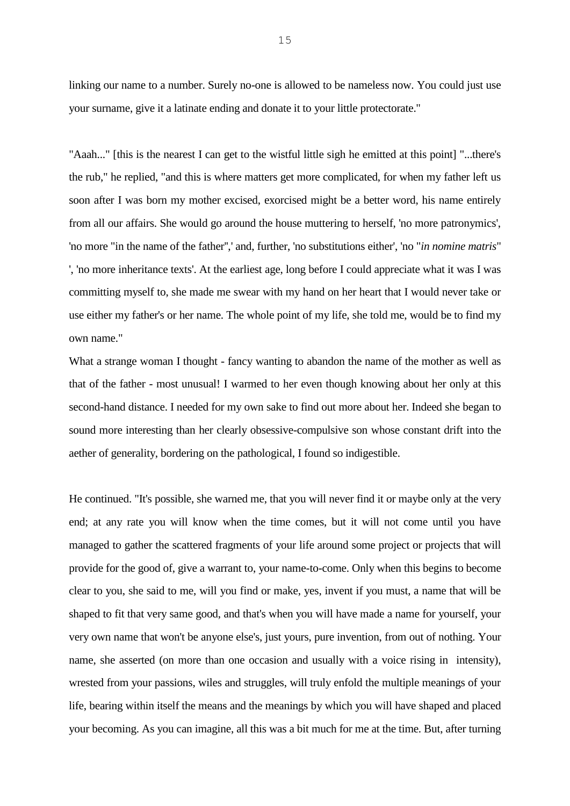linking our name to a number. Surely no-one is allowed to be nameless now. You could just use your surname, give it a latinate ending and donate it to your little protectorate."

"Aaah..." [this is the nearest I can get to the wistful little sigh he emitted at this point] "...there's the rub," he replied, "and this is where matters get more complicated, for when my father left us soon after I was born my mother excised, exorcised might be a better word, his name entirely from all our affairs. She would go around the house muttering to herself, 'no more patronymics', 'no more "in the name of the father'',' and, further, 'no substitutions either', 'no "*in nomine matris*" ', 'no more inheritance texts'. At the earliest age, long before I could appreciate what it was I was committing myself to, she made me swear with my hand on her heart that I would never take or use either my father's or her name. The whole point of my life, she told me, would be to find my own name."

What a strange woman I thought - fancy wanting to abandon the name of the mother as well as that of the father - most unusual! I warmed to her even though knowing about her only at this second-hand distance. I needed for my own sake to find out more about her. Indeed she began to sound more interesting than her clearly obsessive-compulsive son whose constant drift into the aether of generality, bordering on the pathological, I found so indigestible.

He continued. "It's possible, she warned me, that you will never find it or maybe only at the very end; at any rate you will know when the time comes, but it will not come until you have managed to gather the scattered fragments of your life around some project or projects that will provide for the good of, give a warrant to, your name-to-come. Only when this begins to become clear to you, she said to me, will you find or make, yes, invent if you must, a name that will be shaped to fit that very same good, and that's when you will have made a name for yourself, your very own name that won't be anyone else's, just yours, pure invention, from out of nothing. Your name, she asserted (on more than one occasion and usually with a voice rising in intensity), wrested from your passions, wiles and struggles, will truly enfold the multiple meanings of your life, bearing within itself the means and the meanings by which you will have shaped and placed your becoming. As you can imagine, all this was a bit much for me at the time. But, after turning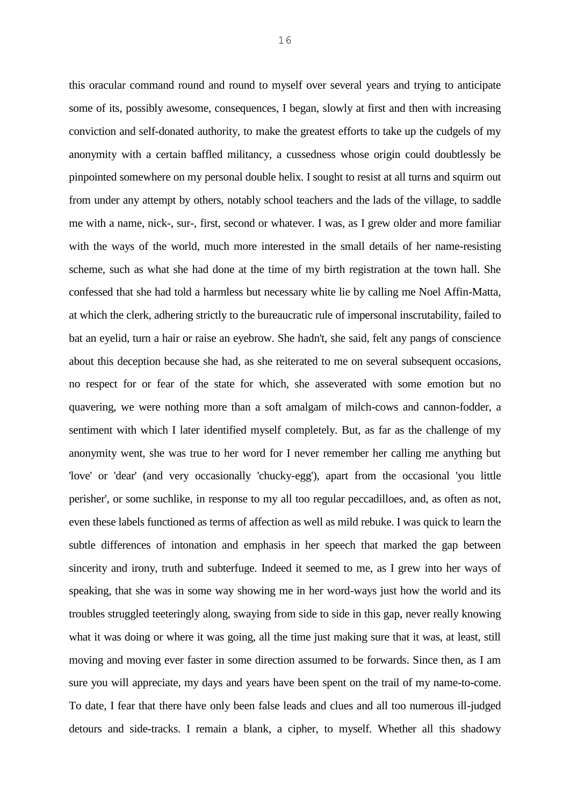this oracular command round and round to myself over several years and trying to anticipate some of its, possibly awesome, consequences, I began, slowly at first and then with increasing conviction and self-donated authority, to make the greatest efforts to take up the cudgels of my anonymity with a certain baffled militancy, a cussedness whose origin could doubtlessly be pinpointed somewhere on my personal double helix. I sought to resist at all turns and squirm out from under any attempt by others, notably school teachers and the lads of the village, to saddle me with a name, nick-, sur-, first, second or whatever. I was, as I grew older and more familiar with the ways of the world, much more interested in the small details of her name-resisting scheme, such as what she had done at the time of my birth registration at the town hall. She confessed that she had told a harmless but necessary white lie by calling me Noel Affin-Matta, at which the clerk, adhering strictly to the bureaucratic rule of impersonal inscrutability, failed to bat an eyelid, turn a hair or raise an eyebrow. She hadn't, she said, felt any pangs of conscience about this deception because she had, as she reiterated to me on several subsequent occasions, no respect for or fear of the state for which, she asseverated with some emotion but no quavering, we were nothing more than a soft amalgam of milch-cows and cannon-fodder, a sentiment with which I later identified myself completely. But, as far as the challenge of my anonymity went, she was true to her word for I never remember her calling me anything but 'love' or 'dear' (and very occasionally 'chucky-egg'), apart from the occasional 'you little perisher', or some suchlike, in response to my all too regular peccadilloes, and, as often as not, even these labels functioned as terms of affection as well as mild rebuke. I was quick to learn the subtle differences of intonation and emphasis in her speech that marked the gap between sincerity and irony, truth and subterfuge. Indeed it seemed to me, as I grew into her ways of speaking, that she was in some way showing me in her word-ways just how the world and its troubles struggled teeteringly along, swaying from side to side in this gap, never really knowing what it was doing or where it was going, all the time just making sure that it was, at least, still moving and moving ever faster in some direction assumed to be forwards. Since then, as I am sure you will appreciate, my days and years have been spent on the trail of my name-to-come. To date, I fear that there have only been false leads and clues and all too numerous ill-judged detours and side-tracks. I remain a blank, a cipher, to myself. Whether all this shadowy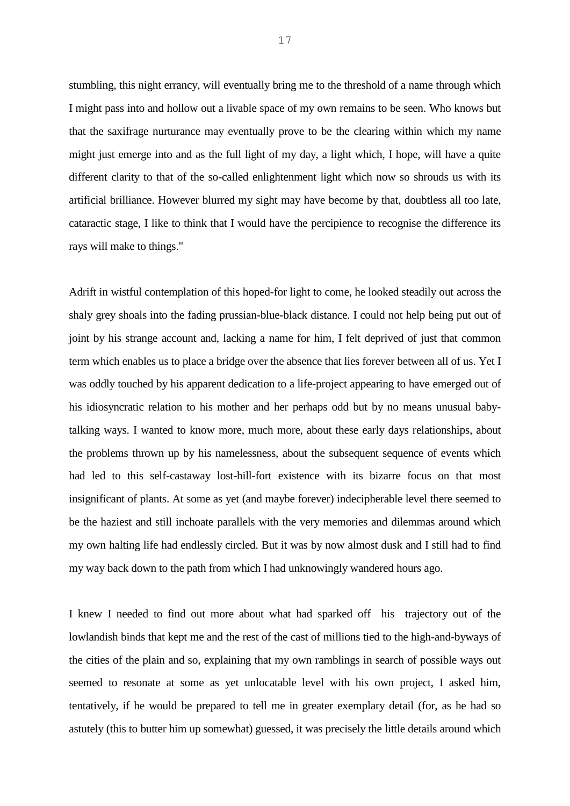stumbling, this night errancy, will eventually bring me to the threshold of a name through which I might pass into and hollow out a livable space of my own remains to be seen. Who knows but that the saxifrage nurturance may eventually prove to be the clearing within which my name might just emerge into and as the full light of my day, a light which, I hope, will have a quite different clarity to that of the so-called enlightenment light which now so shrouds us with its artificial brilliance. However blurred my sight may have become by that, doubtless all too late, cataractic stage, I like to think that I would have the percipience to recognise the difference its rays will make to things."

Adrift in wistful contemplation of this hoped-for light to come, he looked steadily out across the shaly grey shoals into the fading prussian-blue-black distance. I could not help being put out of joint by his strange account and, lacking a name for him, I felt deprived of just that common term which enables us to place a bridge over the absence that lies forever between all of us. Yet I was oddly touched by his apparent dedication to a life-project appearing to have emerged out of his idiosyncratic relation to his mother and her perhaps odd but by no means unusual babytalking ways. I wanted to know more, much more, about these early days relationships, about the problems thrown up by his namelessness, about the subsequent sequence of events which had led to this self-castaway lost-hill-fort existence with its bizarre focus on that most insignificant of plants. At some as yet (and maybe forever) indecipherable level there seemed to be the haziest and still inchoate parallels with the very memories and dilemmas around which my own halting life had endlessly circled. But it was by now almost dusk and I still had to find my way back down to the path from which I had unknowingly wandered hours ago.

I knew I needed to find out more about what had sparked off his trajectory out of the lowlandish binds that kept me and the rest of the cast of millions tied to the high-and-byways of the cities of the plain and so, explaining that my own ramblings in search of possible ways out seemed to resonate at some as yet unlocatable level with his own project, I asked him, tentatively, if he would be prepared to tell me in greater exemplary detail (for, as he had so astutely (this to butter him up somewhat) guessed, it was precisely the little details around which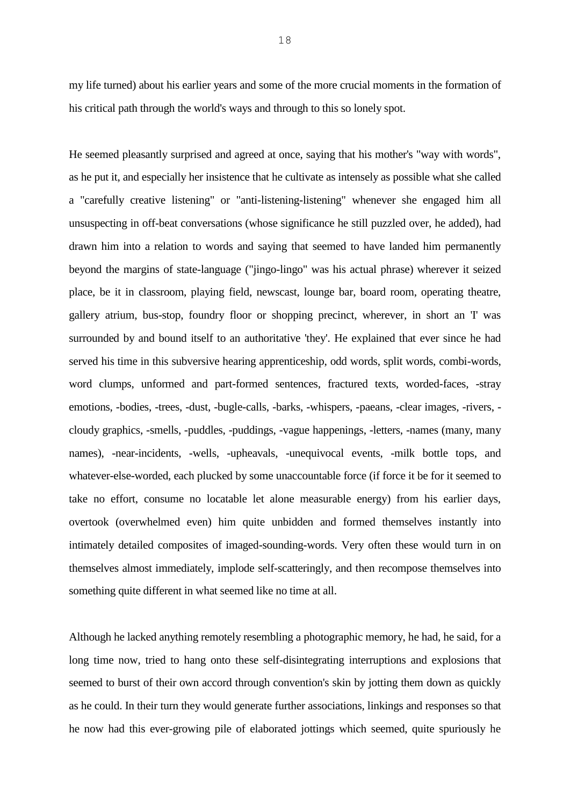my life turned) about his earlier years and some of the more crucial moments in the formation of his critical path through the world's ways and through to this so lonely spot.

He seemed pleasantly surprised and agreed at once, saying that his mother's "way with words", as he put it, and especially her insistence that he cultivate as intensely as possible what she called a "carefully creative listening" or "anti-listening-listening" whenever she engaged him all unsuspecting in off-beat conversations (whose significance he still puzzled over, he added), had drawn him into a relation to words and saying that seemed to have landed him permanently beyond the margins of state-language ("jingo-lingo" was his actual phrase) wherever it seized place, be it in classroom, playing field, newscast, lounge bar, board room, operating theatre, gallery atrium, bus-stop, foundry floor or shopping precinct, wherever, in short an 'I' was surrounded by and bound itself to an authoritative 'they'. He explained that ever since he had served his time in this subversive hearing apprenticeship, odd words, split words, combi-words, word clumps, unformed and part-formed sentences, fractured texts, worded-faces, -stray emotions, -bodies, -trees, -dust, -bugle-calls, -barks, -whispers, -paeans, -clear images, -rivers, cloudy graphics, -smells, -puddles, -puddings, -vague happenings, -letters, -names (many, many names), -near-incidents, -wells, -upheavals, -unequivocal events, -milk bottle tops, and whatever-else-worded, each plucked by some unaccountable force (if force it be for it seemed to take no effort, consume no locatable let alone measurable energy) from his earlier days, overtook (overwhelmed even) him quite unbidden and formed themselves instantly into intimately detailed composites of imaged-sounding-words. Very often these would turn in on themselves almost immediately, implode self-scatteringly, and then recompose themselves into something quite different in what seemed like no time at all.

Although he lacked anything remotely resembling a photographic memory, he had, he said, for a long time now, tried to hang onto these self-disintegrating interruptions and explosions that seemed to burst of their own accord through convention's skin by jotting them down as quickly as he could. In their turn they would generate further associations, linkings and responses so that he now had this ever-growing pile of elaborated jottings which seemed, quite spuriously he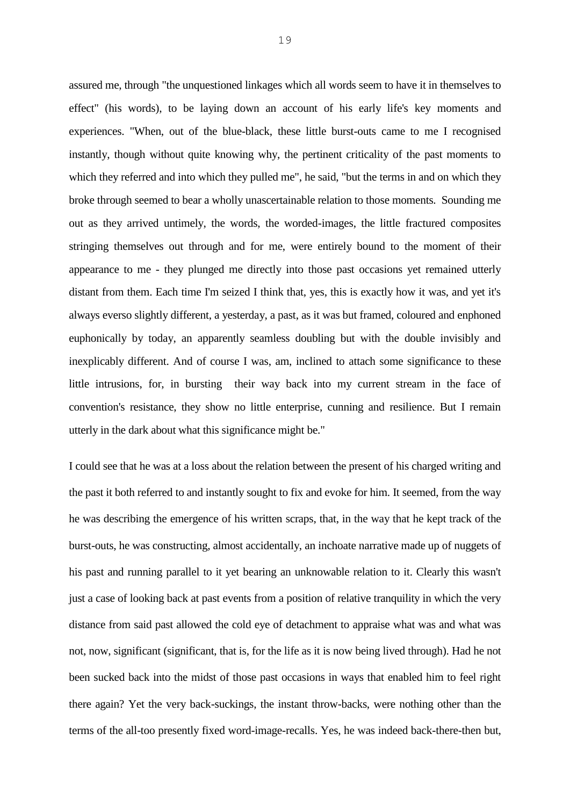assured me, through "the unquestioned linkages which all words seem to have it in themselves to effect" (his words), to be laying down an account of his early life's key moments and experiences. "When, out of the blue-black, these little burst-outs came to me I recognised instantly, though without quite knowing why, the pertinent criticality of the past moments to which they referred and into which they pulled me", he said, "but the terms in and on which they broke through seemed to bear a wholly unascertainable relation to those moments. Sounding me out as they arrived untimely, the words, the worded-images, the little fractured composites stringing themselves out through and for me, were entirely bound to the moment of their appearance to me - they plunged me directly into those past occasions yet remained utterly distant from them. Each time I'm seized I think that, yes, this is exactly how it was, and yet it's always everso slightly different, a yesterday, a past, as it was but framed, coloured and enphoned euphonically by today, an apparently seamless doubling but with the double invisibly and inexplicably different. And of course I was, am, inclined to attach some significance to these little intrusions, for, in bursting their way back into my current stream in the face of convention's resistance, they show no little enterprise, cunning and resilience. But I remain utterly in the dark about what this significance might be."

I could see that he was at a loss about the relation between the present of his charged writing and the past it both referred to and instantly sought to fix and evoke for him. It seemed, from the way he was describing the emergence of his written scraps, that, in the way that he kept track of the burst-outs, he was constructing, almost accidentally, an inchoate narrative made up of nuggets of his past and running parallel to it yet bearing an unknowable relation to it. Clearly this wasn't just a case of looking back at past events from a position of relative tranquility in which the very distance from said past allowed the cold eye of detachment to appraise what was and what was not, now, significant (significant, that is, for the life as it is now being lived through). Had he not been sucked back into the midst of those past occasions in ways that enabled him to feel right there again? Yet the very back-suckings, the instant throw-backs, were nothing other than the terms of the all-too presently fixed word-image-recalls. Yes, he was indeed back-there-then but,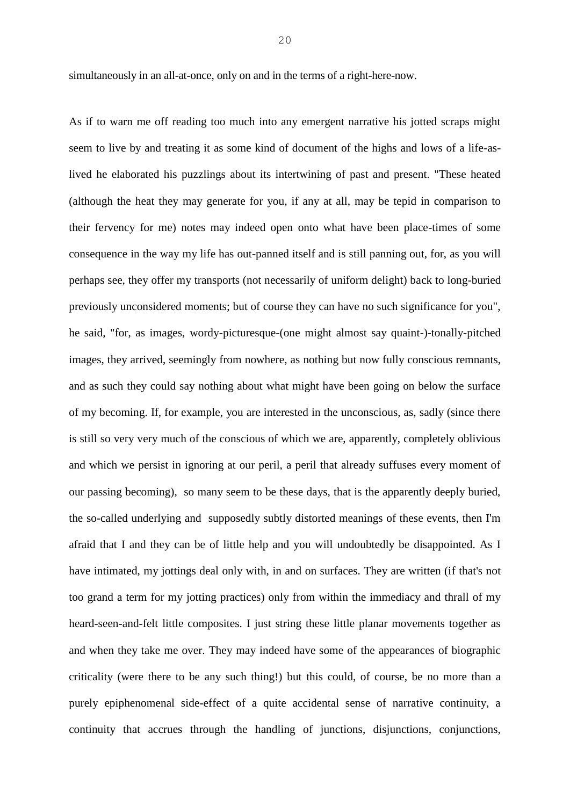simultaneously in an all-at-once, only on and in the terms of a right-here-now.

As if to warn me off reading too much into any emergent narrative his jotted scraps might seem to live by and treating it as some kind of document of the highs and lows of a life-aslived he elaborated his puzzlings about its intertwining of past and present. "These heated (although the heat they may generate for you, if any at all, may be tepid in comparison to their fervency for me) notes may indeed open onto what have been place-times of some consequence in the way my life has out-panned itself and is still panning out, for, as you will perhaps see, they offer my transports (not necessarily of uniform delight) back to long-buried previously unconsidered moments; but of course they can have no such significance for you", he said, "for, as images, wordy-picturesque-(one might almost say quaint-)-tonally-pitched images, they arrived, seemingly from nowhere, as nothing but now fully conscious remnants, and as such they could say nothing about what might have been going on below the surface of my becoming. If, for example, you are interested in the unconscious, as, sadly (since there is still so very very much of the conscious of which we are, apparently, completely oblivious and which we persist in ignoring at our peril, a peril that already suffuses every moment of our passing becoming), so many seem to be these days, that is the apparently deeply buried, the so-called underlying and supposedly subtly distorted meanings of these events, then I'm afraid that I and they can be of little help and you will undoubtedly be disappointed. As I have intimated, my jottings deal only with, in and on surfaces. They are written (if that's not too grand a term for my jotting practices) only from within the immediacy and thrall of my heard-seen-and-felt little composites. I just string these little planar movements together as and when they take me over. They may indeed have some of the appearances of biographic criticality (were there to be any such thing!) but this could, of course, be no more than a purely epiphenomenal side-effect of a quite accidental sense of narrative continuity, a continuity that accrues through the handling of junctions, disjunctions, conjunctions,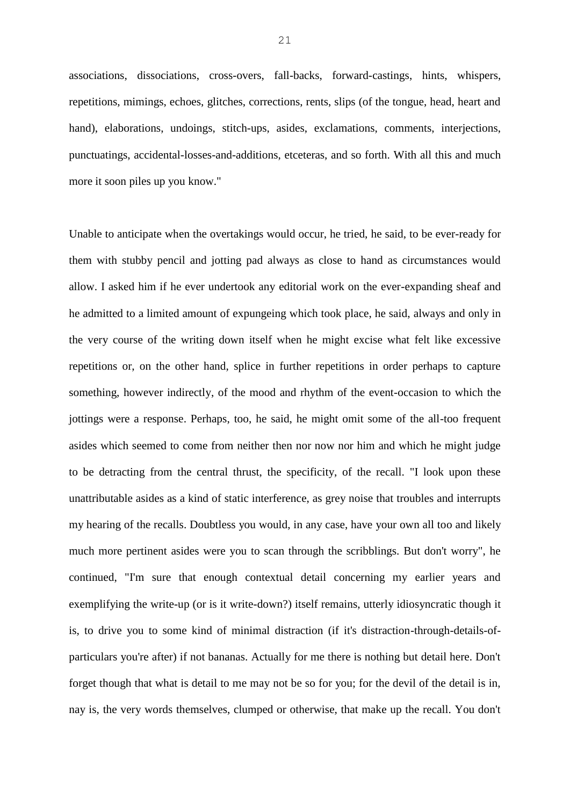associations, dissociations, cross-overs, fall-backs, forward-castings, hints, whispers, repetitions, mimings, echoes, glitches, corrections, rents, slips (of the tongue, head, heart and hand), elaborations, undoings, stitch-ups, asides, exclamations, comments, interjections, punctuatings, accidental-losses-and-additions, etceteras, and so forth. With all this and much more it soon piles up you know."

Unable to anticipate when the overtakings would occur, he tried, he said, to be ever-ready for them with stubby pencil and jotting pad always as close to hand as circumstances would allow. I asked him if he ever undertook any editorial work on the ever-expanding sheaf and he admitted to a limited amount of expungeing which took place, he said, always and only in the very course of the writing down itself when he might excise what felt like excessive repetitions or, on the other hand, splice in further repetitions in order perhaps to capture something, however indirectly, of the mood and rhythm of the event-occasion to which the jottings were a response. Perhaps, too, he said, he might omit some of the all-too frequent asides which seemed to come from neither then nor now nor him and which he might judge to be detracting from the central thrust, the specificity, of the recall. "I look upon these unattributable asides as a kind of static interference, as grey noise that troubles and interrupts my hearing of the recalls. Doubtless you would, in any case, have your own all too and likely much more pertinent asides were you to scan through the scribblings. But don't worry", he continued, "I'm sure that enough contextual detail concerning my earlier years and exemplifying the write-up (or is it write-down?) itself remains, utterly idiosyncratic though it is, to drive you to some kind of minimal distraction (if it's distraction-through-details-ofparticulars you're after) if not bananas. Actually for me there is nothing but detail here. Don't forget though that what is detail to me may not be so for you; for the devil of the detail is in, nay is, the very words themselves, clumped or otherwise, that make up the recall. You don't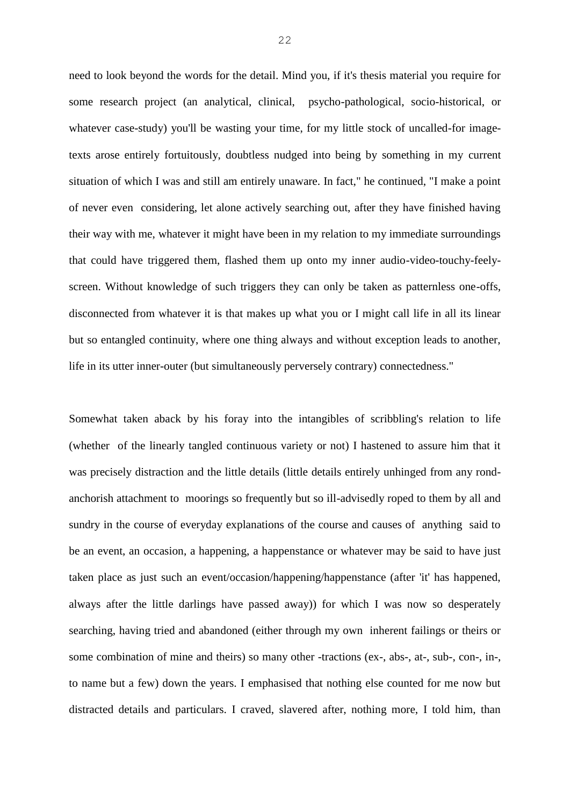need to look beyond the words for the detail. Mind you, if it's thesis material you require for some research project (an analytical, clinical, psycho-pathological, socio-historical, or whatever case-study) you'll be wasting your time, for my little stock of uncalled-for imagetexts arose entirely fortuitously, doubtless nudged into being by something in my current situation of which I was and still am entirely unaware. In fact," he continued, "I make a point of never even considering, let alone actively searching out, after they have finished having their way with me, whatever it might have been in my relation to my immediate surroundings that could have triggered them, flashed them up onto my inner audio-video-touchy-feelyscreen. Without knowledge of such triggers they can only be taken as patternless one-offs, disconnected from whatever it is that makes up what you or I might call life in all its linear but so entangled continuity, where one thing always and without exception leads to another, life in its utter inner-outer (but simultaneously perversely contrary) connectedness."

Somewhat taken aback by his foray into the intangibles of scribbling's relation to life (whether of the linearly tangled continuous variety or not) I hastened to assure him that it was precisely distraction and the little details (little details entirely unhinged from any rondanchorish attachment to moorings so frequently but so ill-advisedly roped to them by all and sundry in the course of everyday explanations of the course and causes of anything said to be an event, an occasion, a happening, a happenstance or whatever may be said to have just taken place as just such an event/occasion/happening/happenstance (after 'it' has happened, always after the little darlings have passed away)) for which I was now so desperately searching, having tried and abandoned (either through my own inherent failings or theirs or some combination of mine and theirs) so many other -tractions (ex-, abs-, at-, sub-, con-, in-, to name but a few) down the years. I emphasised that nothing else counted for me now but distracted details and particulars. I craved, slavered after, nothing more, I told him, than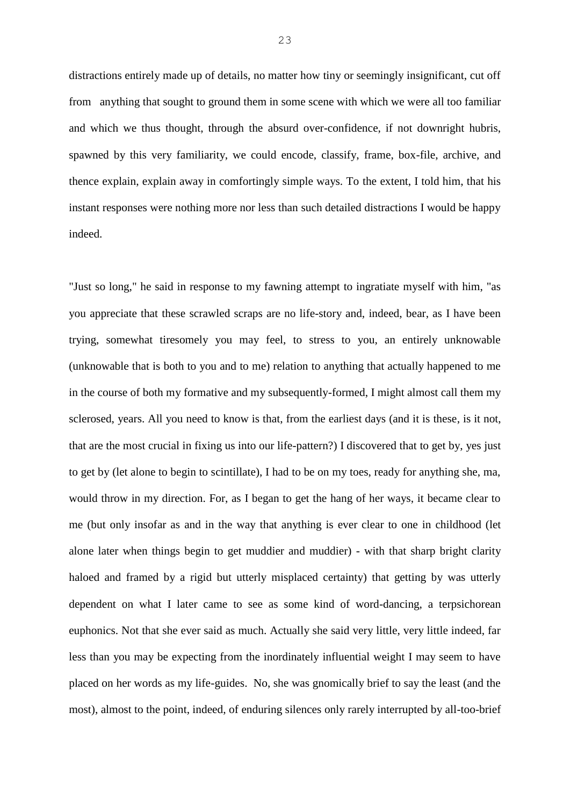distractions entirely made up of details, no matter how tiny or seemingly insignificant, cut off from anything that sought to ground them in some scene with which we were all too familiar and which we thus thought, through the absurd over-confidence, if not downright hubris, spawned by this very familiarity, we could encode, classify, frame, box-file, archive, and thence explain, explain away in comfortingly simple ways. To the extent, I told him, that his instant responses were nothing more nor less than such detailed distractions I would be happy indeed.

"Just so long," he said in response to my fawning attempt to ingratiate myself with him, "as you appreciate that these scrawled scraps are no life-story and, indeed, bear, as I have been trying, somewhat tiresomely you may feel, to stress to you, an entirely unknowable (unknowable that is both to you and to me) relation to anything that actually happened to me in the course of both my formative and my subsequently-formed, I might almost call them my sclerosed, years. All you need to know is that, from the earliest days (and it is these, is it not, that are the most crucial in fixing us into our life-pattern?) I discovered that to get by, yes just to get by (let alone to begin to scintillate), I had to be on my toes, ready for anything she, ma, would throw in my direction. For, as I began to get the hang of her ways, it became clear to me (but only insofar as and in the way that anything is ever clear to one in childhood (let alone later when things begin to get muddier and muddier) - with that sharp bright clarity haloed and framed by a rigid but utterly misplaced certainty) that getting by was utterly dependent on what I later came to see as some kind of word-dancing, a terpsichorean euphonics. Not that she ever said as much. Actually she said very little, very little indeed, far less than you may be expecting from the inordinately influential weight I may seem to have placed on her words as my life-guides. No, she was gnomically brief to say the least (and the most), almost to the point, indeed, of enduring silences only rarely interrupted by all-too-brief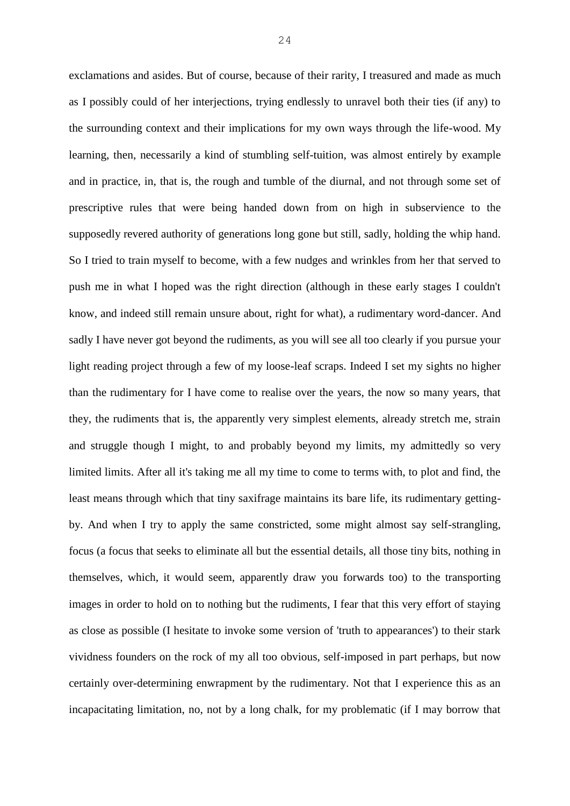exclamations and asides. But of course, because of their rarity, I treasured and made as much as I possibly could of her interjections, trying endlessly to unravel both their ties (if any) to the surrounding context and their implications for my own ways through the life-wood. My learning, then, necessarily a kind of stumbling self-tuition, was almost entirely by example and in practice, in, that is, the rough and tumble of the diurnal, and not through some set of prescriptive rules that were being handed down from on high in subservience to the supposedly revered authority of generations long gone but still, sadly, holding the whip hand. So I tried to train myself to become, with a few nudges and wrinkles from her that served to push me in what I hoped was the right direction (although in these early stages I couldn't know, and indeed still remain unsure about, right for what), a rudimentary word-dancer. And sadly I have never got beyond the rudiments, as you will see all too clearly if you pursue your light reading project through a few of my loose-leaf scraps. Indeed I set my sights no higher than the rudimentary for I have come to realise over the years, the now so many years, that they, the rudiments that is, the apparently very simplest elements, already stretch me, strain and struggle though I might, to and probably beyond my limits, my admittedly so very limited limits. After all it's taking me all my time to come to terms with, to plot and find, the least means through which that tiny saxifrage maintains its bare life, its rudimentary gettingby. And when I try to apply the same constricted, some might almost say self-strangling, focus (a focus that seeks to eliminate all but the essential details, all those tiny bits, nothing in themselves, which, it would seem, apparently draw you forwards too) to the transporting images in order to hold on to nothing but the rudiments, I fear that this very effort of staying as close as possible (I hesitate to invoke some version of 'truth to appearances') to their stark vividness founders on the rock of my all too obvious, self-imposed in part perhaps, but now certainly over-determining enwrapment by the rudimentary. Not that I experience this as an incapacitating limitation, no, not by a long chalk, for my problematic (if I may borrow that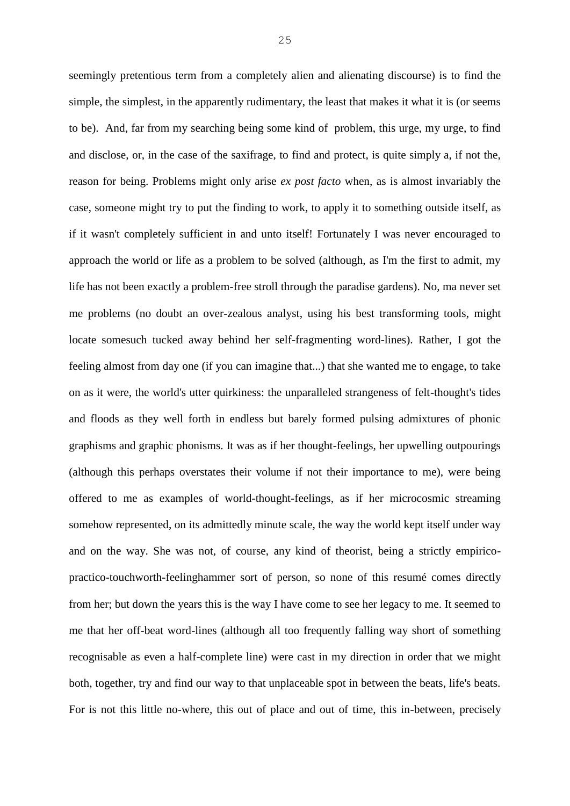seemingly pretentious term from a completely alien and alienating discourse) is to find the simple, the simplest, in the apparently rudimentary, the least that makes it what it is (or seems to be). And, far from my searching being some kind of problem, this urge, my urge, to find and disclose, or, in the case of the saxifrage, to find and protect, is quite simply a, if not the, reason for being. Problems might only arise *ex post facto* when, as is almost invariably the case, someone might try to put the finding to work, to apply it to something outside itself, as if it wasn't completely sufficient in and unto itself! Fortunately I was never encouraged to approach the world or life as a problem to be solved (although, as I'm the first to admit, my life has not been exactly a problem-free stroll through the paradise gardens). No, ma never set me problems (no doubt an over-zealous analyst, using his best transforming tools, might locate somesuch tucked away behind her self-fragmenting word-lines). Rather, I got the feeling almost from day one (if you can imagine that...) that she wanted me to engage, to take on as it were, the world's utter quirkiness: the unparalleled strangeness of felt-thought's tides and floods as they well forth in endless but barely formed pulsing admixtures of phonic graphisms and graphic phonisms. It was as if her thought-feelings, her upwelling outpourings (although this perhaps overstates their volume if not their importance to me), were being offered to me as examples of world-thought-feelings, as if her microcosmic streaming somehow represented, on its admittedly minute scale, the way the world kept itself under way and on the way. She was not, of course, any kind of theorist, being a strictly empiricopractico-touchworth-feelinghammer sort of person, so none of this resumé comes directly from her; but down the years this is the way I have come to see her legacy to me. It seemed to me that her off-beat word-lines (although all too frequently falling way short of something recognisable as even a half-complete line) were cast in my direction in order that we might both, together, try and find our way to that unplaceable spot in between the beats, life's beats. For is not this little no-where, this out of place and out of time, this in-between, precisely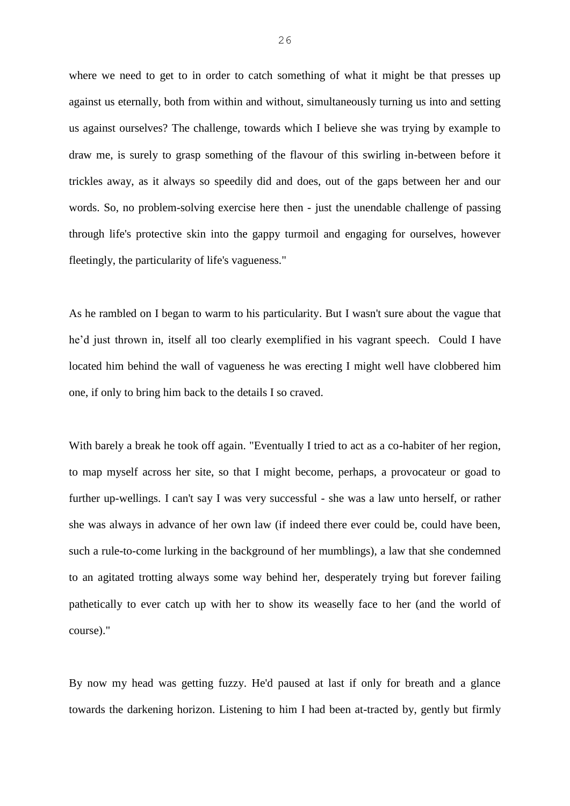where we need to get to in order to catch something of what it might be that presses up against us eternally, both from within and without, simultaneously turning us into and setting us against ourselves? The challenge, towards which I believe she was trying by example to draw me, is surely to grasp something of the flavour of this swirling in-between before it trickles away, as it always so speedily did and does, out of the gaps between her and our words. So, no problem-solving exercise here then - just the unendable challenge of passing through life's protective skin into the gappy turmoil and engaging for ourselves, however fleetingly, the particularity of life's vagueness."

As he rambled on I began to warm to his particularity. But I wasn't sure about the vague that he'd just thrown in, itself all too clearly exemplified in his vagrant speech. Could I have located him behind the wall of vagueness he was erecting I might well have clobbered him one, if only to bring him back to the details I so craved.

With barely a break he took off again. "Eventually I tried to act as a co-habiter of her region, to map myself across her site, so that I might become, perhaps, a provocateur or goad to further up-wellings. I can't say I was very successful - she was a law unto herself, or rather she was always in advance of her own law (if indeed there ever could be, could have been, such a rule-to-come lurking in the background of her mumblings), a law that she condemned to an agitated trotting always some way behind her, desperately trying but forever failing pathetically to ever catch up with her to show its weaselly face to her (and the world of course)."

By now my head was getting fuzzy. He'd paused at last if only for breath and a glance towards the darkening horizon. Listening to him I had been at-tracted by, gently but firmly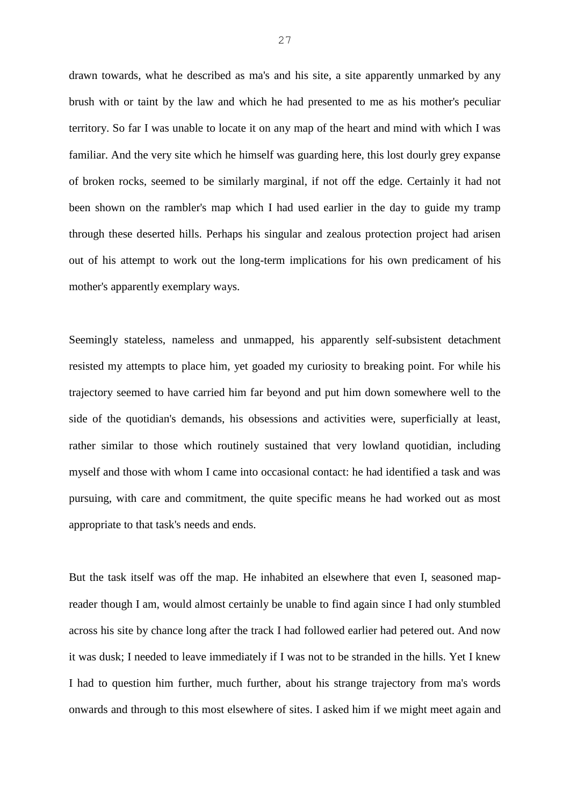drawn towards, what he described as ma's and his site, a site apparently unmarked by any brush with or taint by the law and which he had presented to me as his mother's peculiar territory. So far I was unable to locate it on any map of the heart and mind with which I was familiar. And the very site which he himself was guarding here, this lost dourly grey expanse of broken rocks, seemed to be similarly marginal, if not off the edge. Certainly it had not been shown on the rambler's map which I had used earlier in the day to guide my tramp through these deserted hills. Perhaps his singular and zealous protection project had arisen out of his attempt to work out the long-term implications for his own predicament of his mother's apparently exemplary ways.

Seemingly stateless, nameless and unmapped, his apparently self-subsistent detachment resisted my attempts to place him, yet goaded my curiosity to breaking point. For while his trajectory seemed to have carried him far beyond and put him down somewhere well to the side of the quotidian's demands, his obsessions and activities were, superficially at least, rather similar to those which routinely sustained that very lowland quotidian, including myself and those with whom I came into occasional contact: he had identified a task and was pursuing, with care and commitment, the quite specific means he had worked out as most appropriate to that task's needs and ends.

But the task itself was off the map. He inhabited an elsewhere that even I, seasoned mapreader though I am, would almost certainly be unable to find again since I had only stumbled across his site by chance long after the track I had followed earlier had petered out. And now it was dusk; I needed to leave immediately if I was not to be stranded in the hills. Yet I knew I had to question him further, much further, about his strange trajectory from ma's words onwards and through to this most elsewhere of sites. I asked him if we might meet again and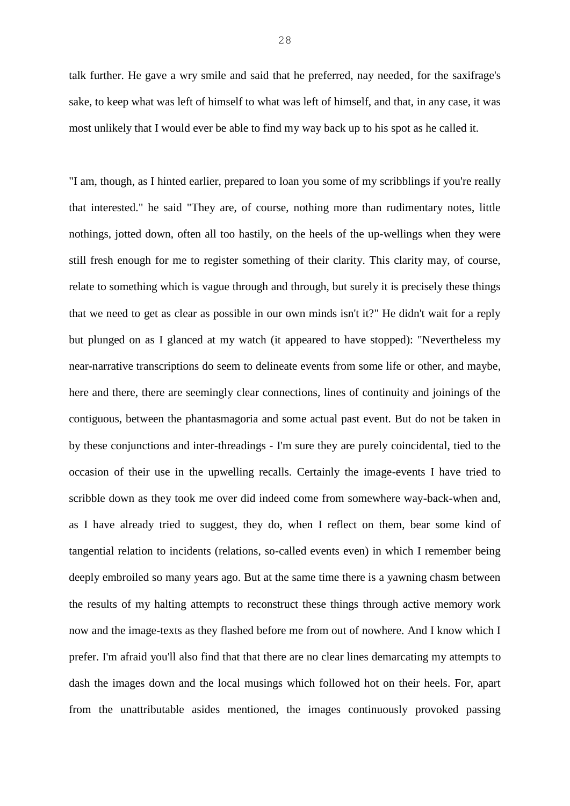talk further. He gave a wry smile and said that he preferred, nay needed, for the saxifrage's sake, to keep what was left of himself to what was left of himself, and that, in any case, it was most unlikely that I would ever be able to find my way back up to his spot as he called it.

"I am, though, as I hinted earlier, prepared to loan you some of my scribblings if you're really that interested." he said "They are, of course, nothing more than rudimentary notes, little nothings, jotted down, often all too hastily, on the heels of the up-wellings when they were still fresh enough for me to register something of their clarity. This clarity may, of course, relate to something which is vague through and through, but surely it is precisely these things that we need to get as clear as possible in our own minds isn't it?" He didn't wait for a reply but plunged on as I glanced at my watch (it appeared to have stopped): "Nevertheless my near-narrative transcriptions do seem to delineate events from some life or other, and maybe, here and there, there are seemingly clear connections, lines of continuity and joinings of the contiguous, between the phantasmagoria and some actual past event. But do not be taken in by these conjunctions and inter-threadings - I'm sure they are purely coincidental, tied to the occasion of their use in the upwelling recalls. Certainly the image-events I have tried to scribble down as they took me over did indeed come from somewhere way-back-when and, as I have already tried to suggest, they do, when I reflect on them, bear some kind of tangential relation to incidents (relations, so-called events even) in which I remember being deeply embroiled so many years ago. But at the same time there is a yawning chasm between the results of my halting attempts to reconstruct these things through active memory work now and the image-texts as they flashed before me from out of nowhere. And I know which I prefer. I'm afraid you'll also find that that there are no clear lines demarcating my attempts to dash the images down and the local musings which followed hot on their heels. For, apart from the unattributable asides mentioned, the images continuously provoked passing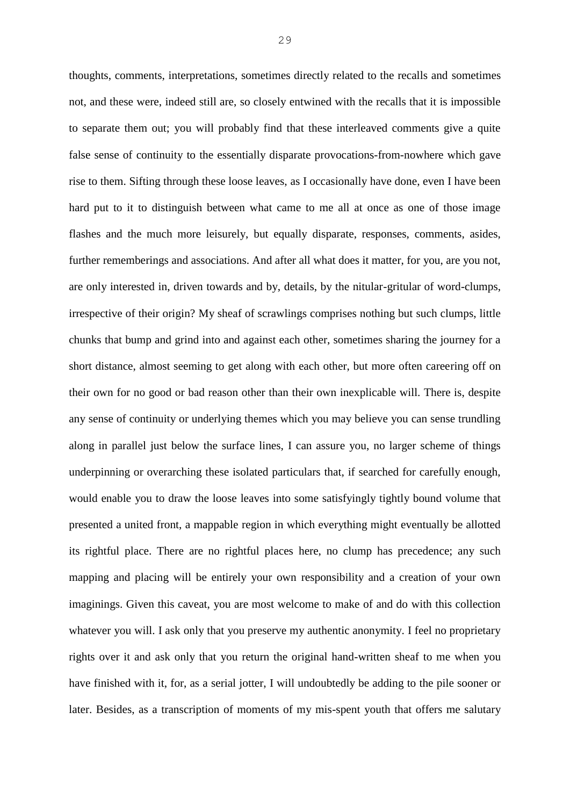thoughts, comments, interpretations, sometimes directly related to the recalls and sometimes not, and these were, indeed still are, so closely entwined with the recalls that it is impossible to separate them out; you will probably find that these interleaved comments give a quite false sense of continuity to the essentially disparate provocations-from-nowhere which gave rise to them. Sifting through these loose leaves, as I occasionally have done, even I have been hard put to it to distinguish between what came to me all at once as one of those image flashes and the much more leisurely, but equally disparate, responses, comments, asides, further rememberings and associations. And after all what does it matter, for you, are you not, are only interested in, driven towards and by, details, by the nitular-gritular of word-clumps, irrespective of their origin? My sheaf of scrawlings comprises nothing but such clumps, little chunks that bump and grind into and against each other, sometimes sharing the journey for a short distance, almost seeming to get along with each other, but more often careering off on their own for no good or bad reason other than their own inexplicable will. There is, despite any sense of continuity or underlying themes which you may believe you can sense trundling along in parallel just below the surface lines, I can assure you, no larger scheme of things underpinning or overarching these isolated particulars that, if searched for carefully enough, would enable you to draw the loose leaves into some satisfyingly tightly bound volume that presented a united front, a mappable region in which everything might eventually be allotted its rightful place. There are no rightful places here, no clump has precedence; any such mapping and placing will be entirely your own responsibility and a creation of your own imaginings. Given this caveat, you are most welcome to make of and do with this collection whatever you will. I ask only that you preserve my authentic anonymity. I feel no proprietary rights over it and ask only that you return the original hand-written sheaf to me when you have finished with it, for, as a serial jotter, I will undoubtedly be adding to the pile sooner or later. Besides, as a transcription of moments of my mis-spent youth that offers me salutary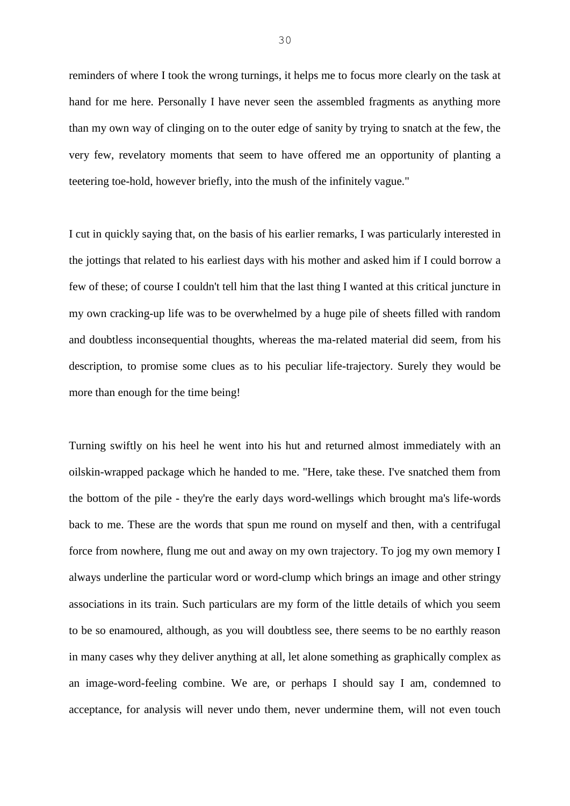reminders of where I took the wrong turnings, it helps me to focus more clearly on the task at hand for me here. Personally I have never seen the assembled fragments as anything more than my own way of clinging on to the outer edge of sanity by trying to snatch at the few, the very few, revelatory moments that seem to have offered me an opportunity of planting a teetering toe-hold, however briefly, into the mush of the infinitely vague."

I cut in quickly saying that, on the basis of his earlier remarks, I was particularly interested in the jottings that related to his earliest days with his mother and asked him if I could borrow a few of these; of course I couldn't tell him that the last thing I wanted at this critical juncture in my own cracking-up life was to be overwhelmed by a huge pile of sheets filled with random and doubtless inconsequential thoughts, whereas the ma-related material did seem, from his description, to promise some clues as to his peculiar life-trajectory. Surely they would be more than enough for the time being!

Turning swiftly on his heel he went into his hut and returned almost immediately with an oilskin-wrapped package which he handed to me. "Here, take these. I've snatched them from the bottom of the pile - they're the early days word-wellings which brought ma's life-words back to me. These are the words that spun me round on myself and then, with a centrifugal force from nowhere, flung me out and away on my own trajectory. To jog my own memory I always underline the particular word or word-clump which brings an image and other stringy associations in its train. Such particulars are my form of the little details of which you seem to be so enamoured, although, as you will doubtless see, there seems to be no earthly reason in many cases why they deliver anything at all, let alone something as graphically complex as an image-word-feeling combine. We are, or perhaps I should say I am, condemned to acceptance, for analysis will never undo them, never undermine them, will not even touch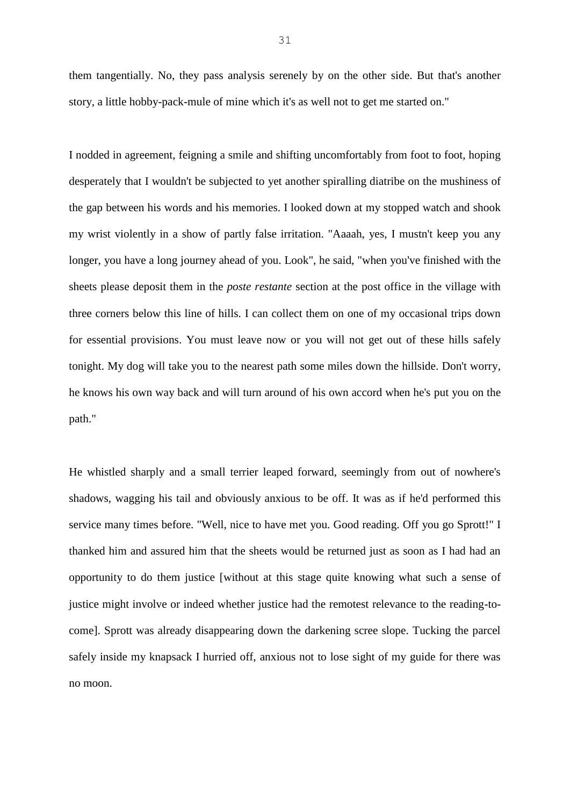them tangentially. No, they pass analysis serenely by on the other side. But that's another story, a little hobby-pack-mule of mine which it's as well not to get me started on."

I nodded in agreement, feigning a smile and shifting uncomfortably from foot to foot, hoping desperately that I wouldn't be subjected to yet another spiralling diatribe on the mushiness of the gap between his words and his memories. I looked down at my stopped watch and shook my wrist violently in a show of partly false irritation. "Aaaah, yes, I mustn't keep you any longer, you have a long journey ahead of you. Look", he said, "when you've finished with the sheets please deposit them in the *poste restante* section at the post office in the village with three corners below this line of hills. I can collect them on one of my occasional trips down for essential provisions. You must leave now or you will not get out of these hills safely tonight. My dog will take you to the nearest path some miles down the hillside. Don't worry, he knows his own way back and will turn around of his own accord when he's put you on the path."

He whistled sharply and a small terrier leaped forward, seemingly from out of nowhere's shadows, wagging his tail and obviously anxious to be off. It was as if he'd performed this service many times before. "Well, nice to have met you. Good reading. Off you go Sprott!" I thanked him and assured him that the sheets would be returned just as soon as I had had an opportunity to do them justice [without at this stage quite knowing what such a sense of justice might involve or indeed whether justice had the remotest relevance to the reading-tocome]. Sprott was already disappearing down the darkening scree slope. Tucking the parcel safely inside my knapsack I hurried off, anxious not to lose sight of my guide for there was no moon.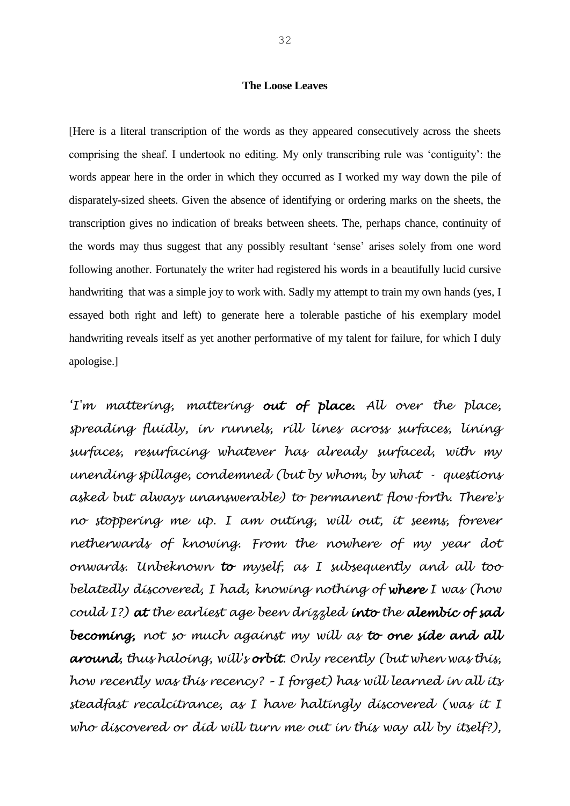## **The Loose Leaves**

[Here is a literal transcription of the words as they appeared consecutively across the sheets comprising the sheaf. I undertook no editing. My only transcribing rule was 'contiguity': the words appear here in the order in which they occurred as I worked my way down the pile of disparately-sized sheets. Given the absence of identifying or ordering marks on the sheets, the transcription gives no indication of breaks between sheets. The, perhaps chance, continuity of the words may thus suggest that any possibly resultant 'sense' arises solely from one word following another. Fortunately the writer had registered his words in a beautifully lucid cursive handwriting that was a simple joy to work with. Sadly my attempt to train my own hands (yes, I essayed both right and left) to generate here a tolerable pastiche of his exemplary model handwriting reveals itself as yet another performative of my talent for failure, for which I duly apologise.]

*'I'm mattering, mattering out of place. All over the place, spreading fluidly, in runnels, rill lines across surfaces, lining surfaces, resurfacing whatever has already surfaced, with my unending spillage, condemned (but by whom, by what - questions asked but always unanswerable) to permanent flow-forth. There's no stoppering me up. I am outing, will out, it seems, forever netherwards of knowing. From the nowhere of my year dot onwards. Unbeknown to myself, as I subsequently and all too belatedly discovered, I had, knowing nothing of where I was (how could I?) at the earliest age been drizzled into the alembic of sad becoming, not so much against my will as to one side and all around, thus haloing, will's orbit. Only recently (but when was this, how recently was this recency? – I forget) has will learned in all its steadfast recalcitrance, as I have haltingly discovered (was it I who discovered or did will turn me out in this way all by itself?),*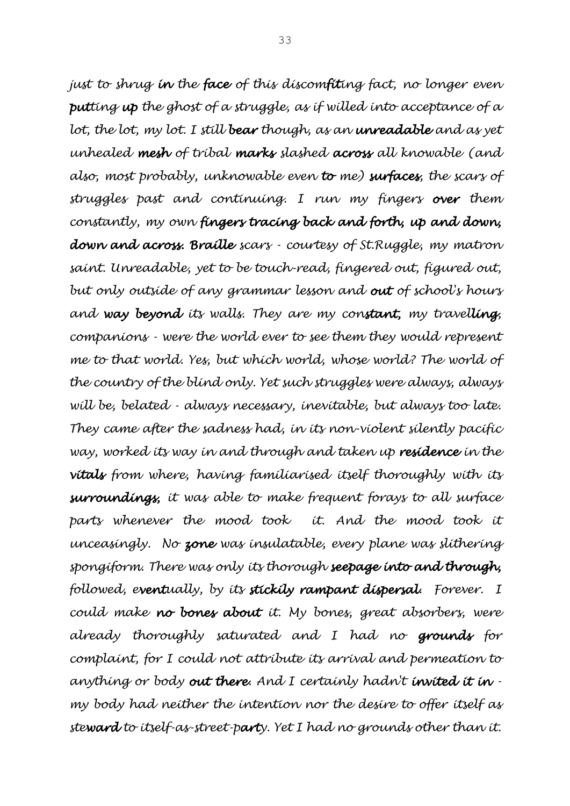*just to shrug in the face of this discomfiting fact, no longer even putting up the ghost of a struggle, as if willed into acceptance of a lot, the lot, my lot. I still bear though, as an unreadable and as yet unhealed mesh of tribal marks slashed across all knowable (and also, most probably, unknowable even to me) surfaces, the scars of struggles past and continuing. I run my fingers over them constantly, my own fingers tracing back and forth, up and down, down and across. Braille scars - courtesy of St.Ruggle, my matron saint. Unreadable, yet to be touch-read, fingered out, figured out, but only outside of any grammar lesson and out of school's hours and way beyond its walls. They are my constant, my travelling, companions - were the world ever to see them they would represent me to that world. Yes, but which world, whose world? The world of the country of the blind only. Yet such struggles were always, always will be, belated - always necessary, inevitable, but always too late. They came after the sadness had, in its non-violent silently pacific way, worked its way in and through and taken up residence in the vitals from where, having familiarised itself thoroughly with its surroundings, it was able to make frequent forays to all surface*  parts whenever the mood took *it.* And the mood took it *unceasingly. No zone was insulatable, every plane was slithering spongiform. There was only its thorough seepage into and through, followed, eventually, by its stickily rampant dispersal. Forever. I could make no bones about it. My bones, great absorbers, were already thoroughly saturated and I had no grounds for complaint, for I could not attribute its arrival and permeation to anything or body out there. And I certainly hadn't invited it in my body had neither the intention nor the desire to offer itself as steward to itself-as-street-party. Yet I had no grounds other than it.*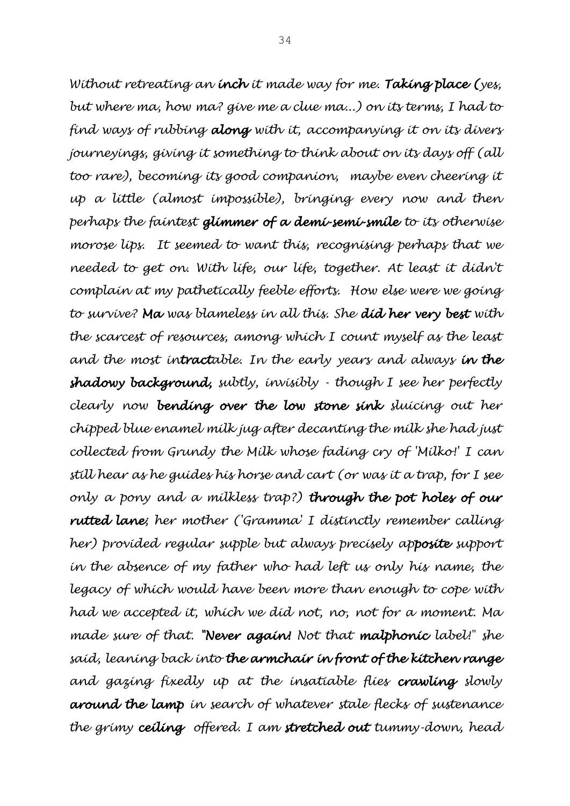*Without retreating an inch it made way for me. Taking place (yes, but where ma, how ma? give me a clue ma...) on its terms, I had to find ways of rubbing along with it, accompanying it on its divers journeyings, giving it something to think about on its days off (all too rare), becoming its good companion, maybe even cheering it up a little (almost impossible), bringing every now and then perhaps the faintest glimmer of a demi-semi-smile to its otherwise morose lips. It seemed to want this, recognising perhaps that we needed to get on. With life, our life, together. At least it didn't complain at my pathetically feeble efforts. How else were we going to survive? Ma was blameless in all this. She did her very best with the scarcest of resources, among which I count myself as the least and the most intractable. In the early years and always in the shadowy background, subtly, invisibly - though I see her perfectly clearly now bending over the low stone sink sluicing out her chipped blue enamel milk jug after decanting the milk she had just collected from Grundy the Milk whose fading cry of 'Milko!' I can still hear as he guides his horse and cart (or was it a trap, for I see only a pony and a milkless trap?) through the pot holes of our rutted lane; her mother ('Gramma' I distinctly remember calling her) provided regular supple but always precisely apposite support in the absence of my father who had left us only his name, the legacy of which would have been more than enough to cope with had we accepted it, which we did not, no, not for a moment. Ma made sure of that. "Never again! Not that malphonic label!" she said, leaning back into the armchair in front of the kitchen range and gazing fixedly up at the insatiable flies crawling slowly around the lamp in search of whatever stale flecks of sustenance the grimy ceiling offered. I am stretched out tummy-down, head*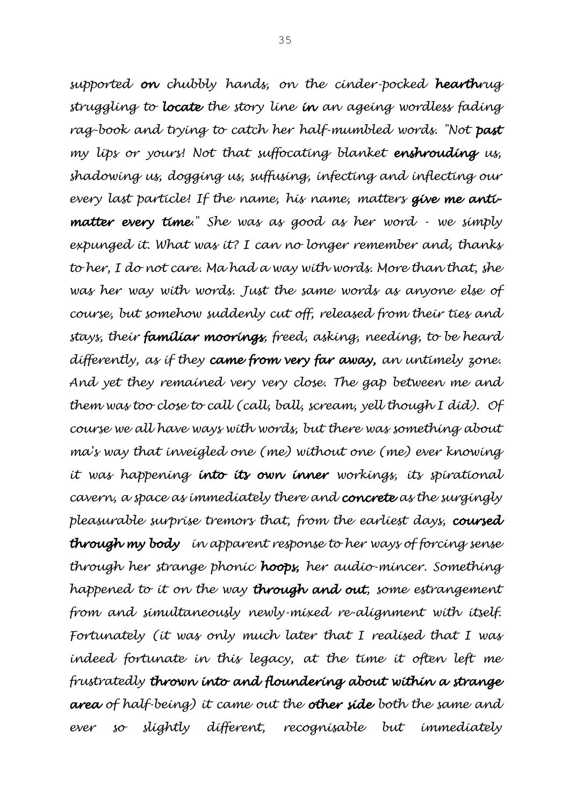*supported on chubbly hands, on the cinder-pocked hearthrug struggling to locate the story line in an ageing wordless fading rag-book and trying to catch her half-mumbled words. "Not past my lips or yours! Not that suffocating blanket enshrouding us, shadowing us, dogging us, suffusing, infecting and inflecting our every last particle! If the name, his name, matters give me antimatter every time." She was as good as her word - we simply expunged it. What was it? I can no longer remember and, thanks to her, I do not care. Ma had a way with words. More than that, she was her way with words. Just the same words as anyone else of course, but somehow suddenly cut off, released from their ties and stays, their familiar moorings, freed, asking, needing, to be heard differently, as if they came from very far away, an untimely zone. And yet they remained very very close. The gap between me and them was too close to call (call, ball, scream, yell though I did). Of course we all have ways with words, but there was something about ma's way that inveigled one (me) without one (me) ever knowing it was happening into its own inner workings, its spirational cavern, a space as immediately there and concrete as the surgingly pleasurable surprise tremors that, from the earliest days, coursed through my body in apparent response to her ways of forcing sense through her strange phonic hoops, her audio-mincer. Something happened to it on the way through and out, some estrangement from and simultaneously newly-mixed re-alignment with itself. Fortunately (it was only much later that I realised that I was indeed fortunate in this legacy, at the time it often left me frustratedly thrown into and floundering about within a strange area of half-being) it came out the other side both the same and ever so slightly different, recognisable but immediately*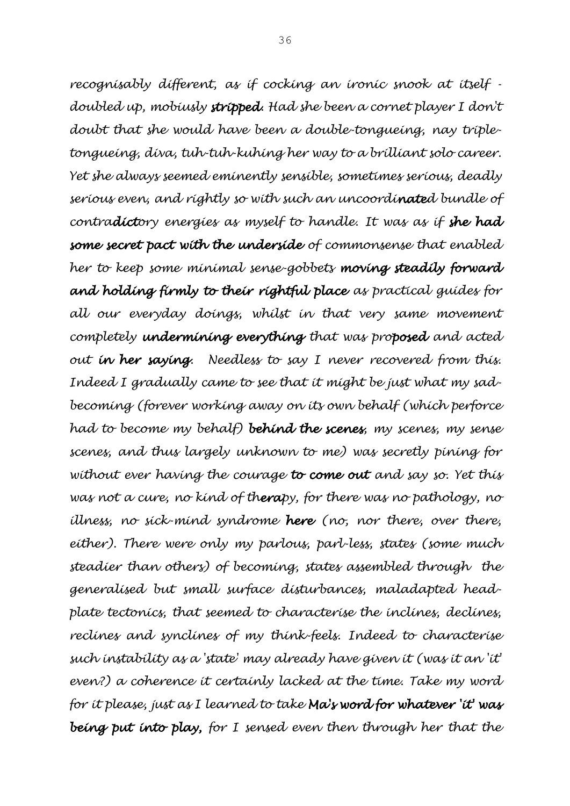*recognisably different, as if cocking an ironic snook at itself doubled up, mobiusly stripped. Had she been a cornet player I don't doubt that she would have been a double-tongueing, nay tripletongueing, diva, tuh-tuh-kuhing her way to a brilliant solo career. Yet she always seemed eminently sensible, sometimes serious, deadly serious even, and rightly so with such an uncoordinated bundle of contradictory energies as myself to handle. It was as if she had some secret pact with the underside of commonsense that enabled her to keep some minimal sense-gobbets moving steadily forward and holding firmly to their rightful place as practical guides for all our everyday doings, whilst in that very same movement completely undermining everything that was proposed and acted out in her saying. Needless to say I never recovered from this. Indeed I gradually came to see that it might be just what my sadbecoming (forever working away on its own behalf (which perforce had to become my behalf) behind the scenes, my scenes, my sense scenes, and thus largely unknown to me) was secretly pining for without ever having the courage to come out and say so. Yet this was not a cure, no kind of therapy, for there was no pathology, no illness, no sick-mind syndrome here (no, nor there, over there, either). There were only my parlous, parl-less, states (some much steadier than others) of becoming, states assembled through the generalised but small surface disturbances, maladapted headplate tectonics, that seemed to characterise the inclines, declines, reclines and synclines of my think-feels. Indeed to characterise such instability as a 'state' may already have given it (was it an 'it' even?) a coherence it certainly lacked at the time. Take my word for it please, just as I learned to take Ma's word for whatever 'it' was being put into play, for I sensed even then through her that the*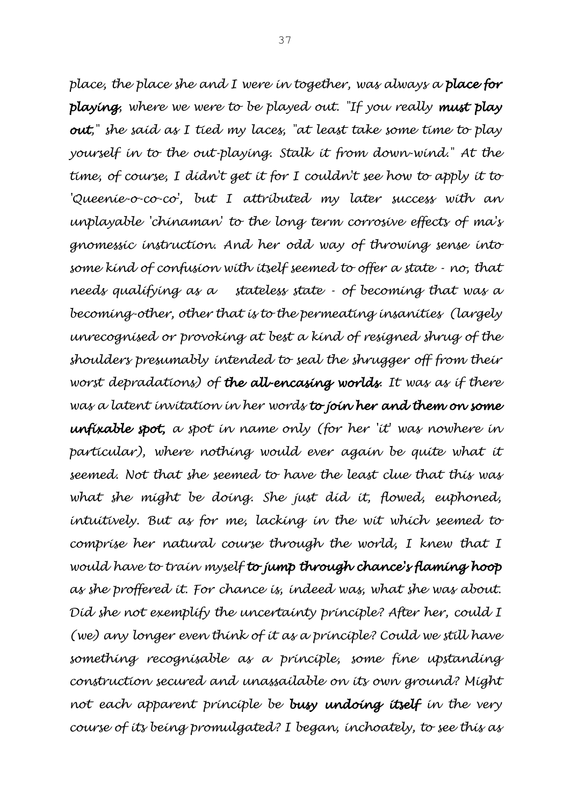*place, the place she and I were in together, was always a place for playing, where we were to be played out. "If you really must play out," she said as I tied my laces, "at least take some time to play yourself in to the out-playing. Stalk it from down-wind." At the time, of course, I didn't get it for I couldn't see how to apply it to 'Queenie-o-co-co', but I attributed my later success with an unplayable 'chinaman' to the long term corrosive effects of ma's gnomessic instruction. And her odd way of throwing sense into some kind of confusion with itself seemed to offer a state - no, that needs qualifying as a stateless state - of becoming that was a becoming-other, other that is to the permeating insanities (largely unrecognised or provoking at best a kind of resigned shrug of the shoulders presumably intended to seal the shrugger off from their worst depradations) of the all-encasing worlds. It was as if there was a latent invitation in her words to join her and them on some unfixable spot, a spot in name only (for her 'it' was nowhere in*  particular), where nothing would ever again be quite what it *seemed. Not that she seemed to have the least clue that this was what she might be doing. She just did it, flowed, euphoned, intuitively. But as for me, lacking in the wit which seemed to comprise her natural course through the world, I knew that I would have to train myself to jump through chance's flaming hoop as she proffered it. For chance is, indeed was, what she was about. Did she not exemplify the uncertainty principle? After her, could I (we) any longer even think of it as a principle? Could we still have something recognisable as a principle, some fine upstanding construction secured and unassailable on its own ground? Might not each apparent principle be busy undoing itself in the very course of its being promulgated? I began, inchoately, to see this as*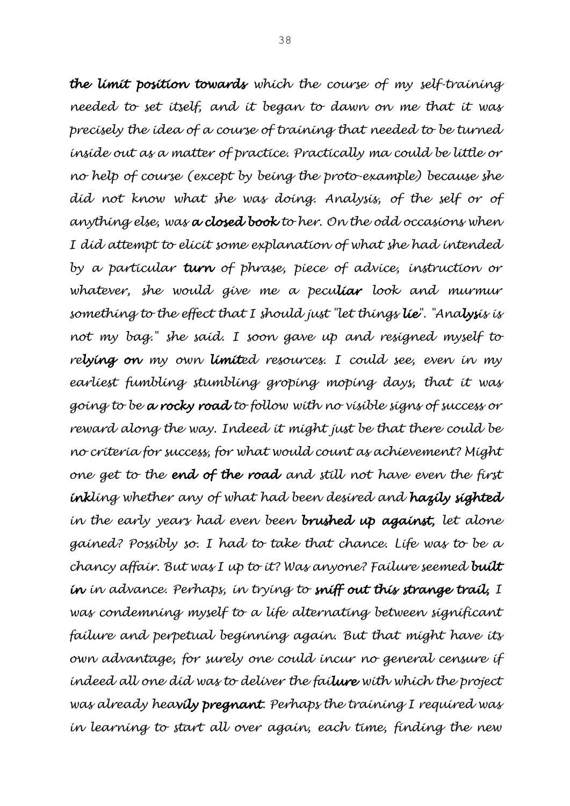*the limit position towards which the course of my self-training needed to set itself, and it began to dawn on me that it was precisely the idea of a course of training that needed to be turned inside out as a matter of practice. Practically ma could be little or no help of course (except by being the proto-example) because she did not know what she was doing. Analysis, of the self or of anything else, was a closed book to her. On the odd occasions when I did attempt to elicit some explanation of what she had intended by a particular turn of phrase, piece of advice, instruction or whatever, she would give me a peculiar look and murmur something to the effect that I should just "let things lie". "Analysis is not my bag." she said. I soon gave up and resigned myself to relying on my own limited resources. I could see, even in my earliest fumbling stumbling groping moping days, that it was going to be a rocky road to follow with no visible signs of success or reward along the way. Indeed it might just be that there could be no criteria for success, for what would count as achievement? Might one get to the end of the road and still not have even the first inkling whether any of what had been desired and hazily sighted in the early years had even been brushed up against, let alone gained? Possibly so. I had to take that chance. Life was to be a chancy affair. But was I up to it? Was anyone? Failure seemed built in in advance. Perhaps, in trying to sniff out this strange trail, I*  was condemning myself to a life alternating between significant *failure and perpetual beginning again. But that might have its own advantage, for surely one could incur no general censure if indeed all one did was to deliver the failure with which the project was already heavily pregnant. Perhaps the training I required was in learning to start all over again, each time, finding the new*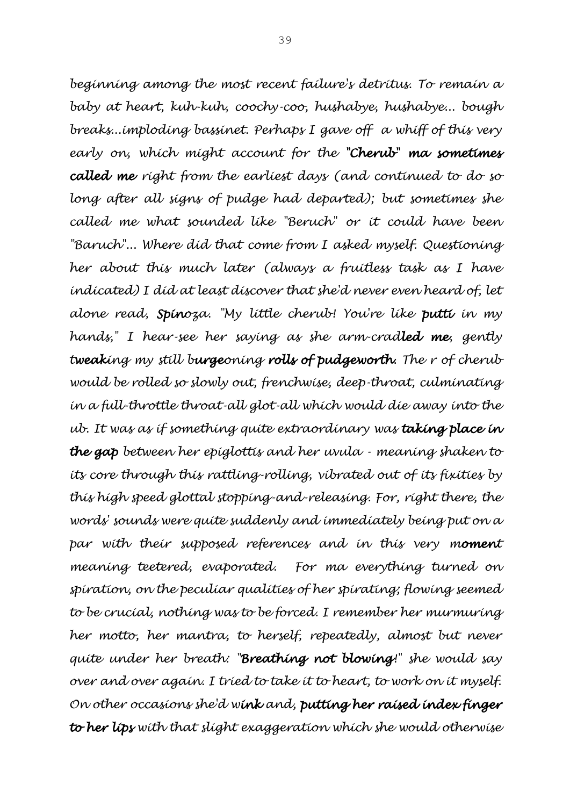*beginning among the most recent failure's detritus. To remain a baby at heart, kuh-kuh, coochy-coo, hushabye, hushabye... bough breaks...imploding bassinet. Perhaps I gave off a whiff of this very early on, which might account for the "Cherub" ma sometimes called me right from the earliest days (and continued to do so long after all signs of pudge had departed); but sometimes she called me what sounded like "Beruch" or it could have been "Baruch"... Where did that come from I asked myself. Questioning her about this much later (always a fruitless task as I have indicated) I did at least discover that she'd never even heard of, let alone read, Spinoza. "My little cherub! You're like putti in my hands," I hear-see her saying as she arm-cradled me, gently tweaking my still burgeoning rolls of pudgeworth. The r of cherub would be rolled so slowly out, frenchwise, deep-throat, culminating in a full-throttle throat-all glot-all which would die away into the ub. It was as if something quite extraordinary was taking place in the gap between her epiglottis and her uvula - meaning shaken to its core through this rattling-rolling, vibrated out of its fixities by this high speed glottal stopping-and-releasing. For, right there, the words' sounds were quite suddenly and immediately being put on a par with their supposed references and in this very moment meaning teetered, evaporated. For ma everything turned on spiration, on the peculiar qualities of her spirating; flowing seemed to be crucial, nothing was to be forced. I remember her murmuring her motto, her mantra, to herself, repeatedly, almost but never quite under her breath: "Breathing not blowing!" she would say over and over again. I tried to take it to heart, to work on it myself. On other occasions she'd wink and, putting her raised index finger to her lips with that slight exaggeration which she would otherwise*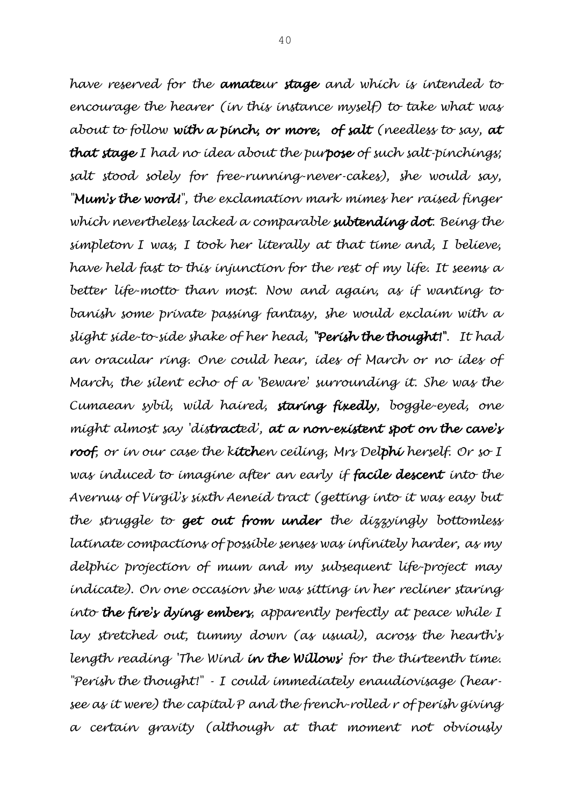*have reserved for the amateur stage and which is intended to encourage the hearer (in this instance myself) to take what was about to follow with a pinch, or more, of salt (needless to say, at that stage I had no idea about the purpose of such salt-pinchings; salt stood solely for free-running-never-cakes), she would say, "Mum's the word!", the exclamation mark mimes her raised finger which nevertheless lacked a comparable subtending dot. Being the simpleton I was, I took her literally at that time and, I believe, have held fast to this injunction for the rest of my life. It seems a better life-motto than most. Now and again, as if wanting to banish some private passing fantasy, she would exclaim with a slight side-to-side shake of her head, "Perish the thought!". It had an oracular ring. One could hear, ides of March or no ides of March, the silent echo of a 'Beware' surrounding it. She was the Cumaean sybil, wild haired, staring fixedly, boggle-eyed, one might almost say 'distracted', at a non-existent spot on the cave's roof, or in our case the kitchen ceiling, Mrs Delphi herself. Or so I was induced to imagine after an early if facile descent into the Avernus of Virgil's sixth Aeneid tract (getting into it was easy but the struggle to get out from under the dizzyingly bottomless latinate compactions of possible senses was infinitely harder, as my delphic projection of mum and my subsequent life-project may indicate). On one occasion she was sitting in her recliner staring into the fire's dying embers, apparently perfectly at peace while I lay stretched out, tummy down (as usual), across the hearth's length reading 'The Wind in the Willows' for the thirteenth time. "Perish the thought!" - I could immediately enaudiovisage (hearsee as it were) the capital P and the french-rolled r of perish giving a certain gravity (although at that moment not obviously*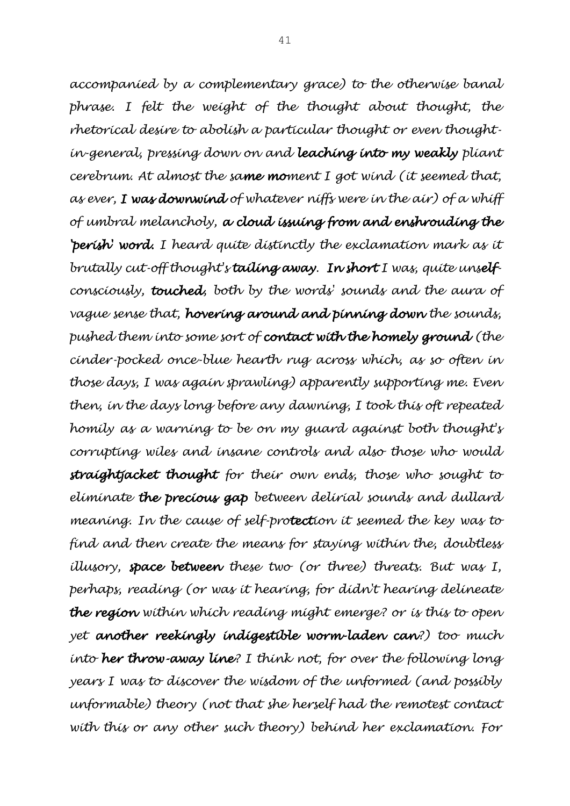*accompanied by a complementary grace) to the otherwise banal phrase. I felt the weight of the thought about thought, the rhetorical desire to abolish a particular thought or even thoughtin-general, pressing down on and leaching into my weakly pliant cerebrum. At almost the same moment I got wind (it seemed that, as ever, I was downwind of whatever niffs were in the air) of a whiff of umbral melancholy, a cloud issuing from and enshrouding the 'perish' word. I heard quite distinctly the exclamation mark as it brutally cut-off thought's tailing away. In short I was, quite unselfconsciously, touched, both by the words' sounds and the aura of vague sense that, hovering around and pinning down the sounds, pushed them into some sort of contact with the homely ground (the cinder-pocked once-blue hearth rug across which, as so often in those days, I was again sprawling) apparently supporting me. Even then, in the days long before any dawning, I took this oft repeated homily as a warning to be on my guard against both thought's corrupting wiles and insane controls and also those who would straightjacket thought for their own ends, those who sought to eliminate the precious gap between delirial sounds and dullard meaning. In the cause of self-protection it seemed the key was to find and then create the means for staying within the, doubtless illusory, space between these two (or three) threats. But was I, perhaps, reading (or was it hearing, for didn't hearing delineate the region within which reading might emerge? or is this to open yet another reekingly indigestible worm-laden can?) too much into her throw-away line? I think not, for over the following long years I was to discover the wisdom of the unformed (and possibly unformable) theory (not that she herself had the remotest contact with this or any other such theory) behind her exclamation. For*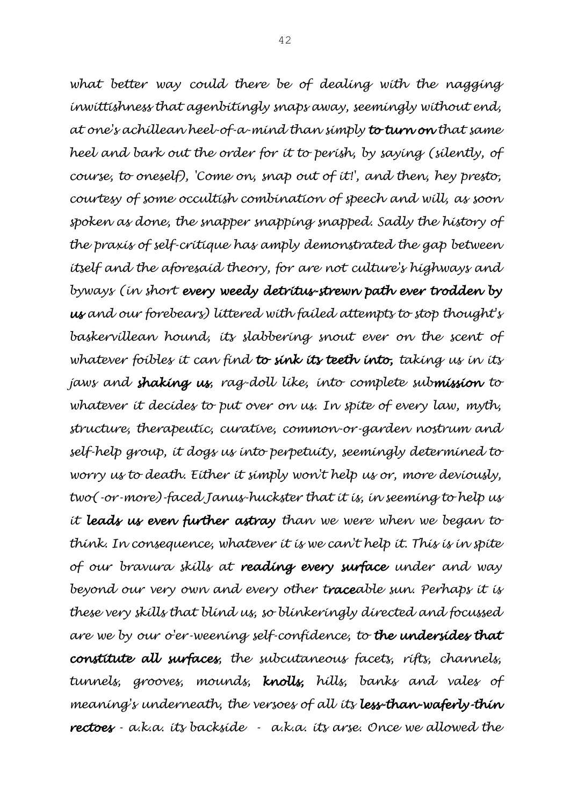*what better way could there be of dealing with the nagging inwittishness that agenbitingly snaps away, seemingly without end, at one's achillean heel-of-a-mind than simply to turn on that same heel and bark out the order for it to perish, by saying (silently, of course, to oneself), 'Come on, snap out of it!', and then, hey presto, courtesy of some occultish combination of speech and will, as soon spoken as done, the snapper snapping snapped. Sadly the history of the praxis of self-critique has amply demonstrated the gap between itself and the aforesaid theory, for are not culture's highways and byways (in short every weedy detritus-strewn path ever trodden by us and our forebears) littered with failed attempts to stop thought's baskervillean hound, its slabbering snout ever on the scent of whatever foibles it can find to sink its teeth into, taking us in its jaws and shaking us, rag-doll like, into complete submission to whatever it decides to put over on us. In spite of every law, myth, structure, therapeutic, curative, common-or-garden nostrum and self-help group, it dogs us into perpetuity, seemingly determined to worry us to death. Either it simply won't help us or, more deviously, two(-or-more)-faced Janus-huckster that it is, in seeming to help us it leads us even further astray than we were when we began to think. In consequence, whatever it is we can't help it. This is in spite of our bravura skills at reading every surface under and way beyond our very own and every other traceable sun. Perhaps it is these very skills that blind us, so blinkeringly directed and focussed are we by our o'er-weening self-confidence, to the undersides that constitute all surfaces, the subcutaneous facets, rifts, channels, tunnels, grooves, mounds, knolls, hills, banks and vales of meaning's underneath, the versoes of all its less-than-waferly-thin rectoes - a.k.a. its backside - a.k.a. its arse. Once we allowed the*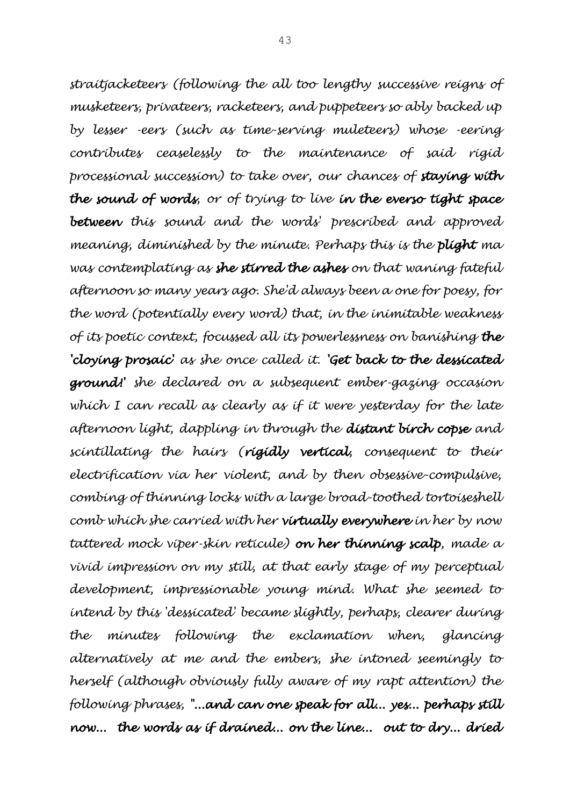*straitjacketeers (following the all too lengthy successive reigns of musketeers, privateers, racketeers, and puppeteers so ably backed up by lesser -eers (such as time-serving muleteers) whose -eering contributes ceaselessly to the maintenance of said rigid processional succession) to take over, our chances of staying with the sound of words, or of trying to live in the everso tight space between this sound and the words' prescribed and approved meaning, diminished by the minute. Perhaps this is the plight ma was contemplating as she stirred the ashes on that waning fateful afternoon so many years ago. She'd always been a one for poesy, for the word (potentially every word) that, in the inimitable weakness of its poetic context, focussed all its powerlessness on banishing the 'cloying prosaic' as she once called it. 'Get back to the dessicated ground!' she declared on a subsequent ember-gazing occasion which I can recall as clearly as if it were yesterday for the late afternoon light, dappling in through the distant birch copse and scintillating the hairs (rigidly vertical, consequent to their electrification via her violent, and by then obsessive-compulsive, combing of thinning locks with a large broad-toothed tortoiseshell comb which she carried with her virtually everywhere in her by now tattered mock viper-skin reticule) on her thinning scalp, made a vivid impression on my still, at that early stage of my perceptual development, impressionable young mind. What she seemed to intend by this 'dessicated' became slightly, perhaps, clearer during the minutes following the exclamation when, glancing alternatively at me and the embers, she intoned seemingly to herself (although obviously fully aware of my rapt attention) the following phrases, "...and can one speak for all... yes... perhaps still now... the words as if drained... on the line... out to dry... dried*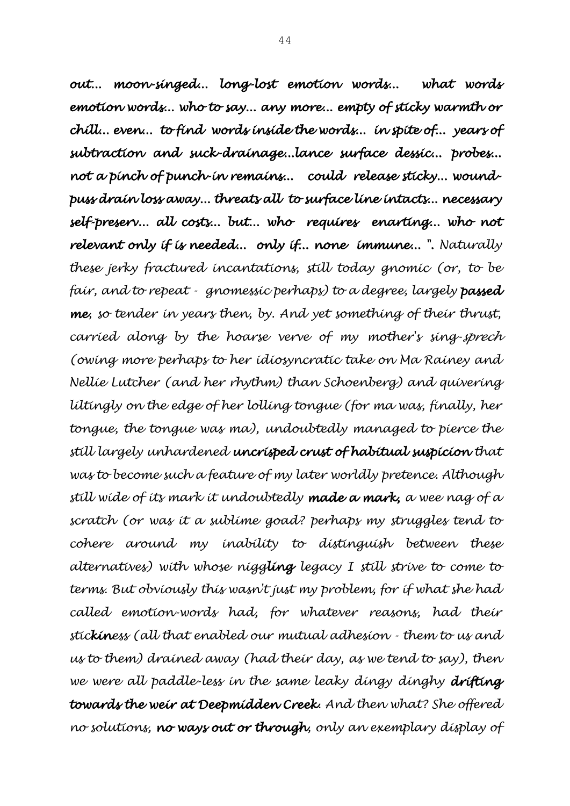*out... moon-singed... long-lost emotion words... what words emotion words... who to say... any more... empty of sticky warmth or chill... even... to find words inside the words... in spite of... years of subtraction and suck-drainage...lance surface dessic... probes... not a pinch of punch-in remains... could release sticky... woundpuss drain loss away... threats all to surface line intacts... necessary self-preserv... all costs... but... who requires enarting... who not relevant only if is needed... only if... none immune... ". Naturally these jerky fractured incantations, still today gnomic (or, to be fair, and to repeat - gnomessic perhaps) to a degree, largely passed me, so tender in years then, by. And yet something of their thrust, carried along by the hoarse verve of my mother's sing-sprech (owing more perhaps to her idiosyncratic take on Ma Rainey and Nellie Lutcher (and her rhythm) than Schoenberg) and quivering liltingly on the edge of her lolling tongue (for ma was, finally, her tongue, the tongue was ma), undoubtedly managed to pierce the still largely unhardened uncrisped crust of habitual suspicion that was to become such a feature of my later worldly pretence. Although still wide of its mark it undoubtedly made a mark, a wee nag of a scratch (or was it a sublime goad? perhaps my struggles tend to cohere around my inability to distinguish between these alternatives) with whose niggling legacy I still strive to come to terms. But obviously this wasn't just my problem, for if what she had called emotion-words had, for whatever reasons, had their stickiness (all that enabled our mutual adhesion - them to us and us to them) drained away (had their day, as we tend to say), then we were all paddle-less in the same leaky dingy dinghy drifting towards the weir at Deepmidden Creek. And then what? She offered no solutions, no ways out or through, only an exemplary display of*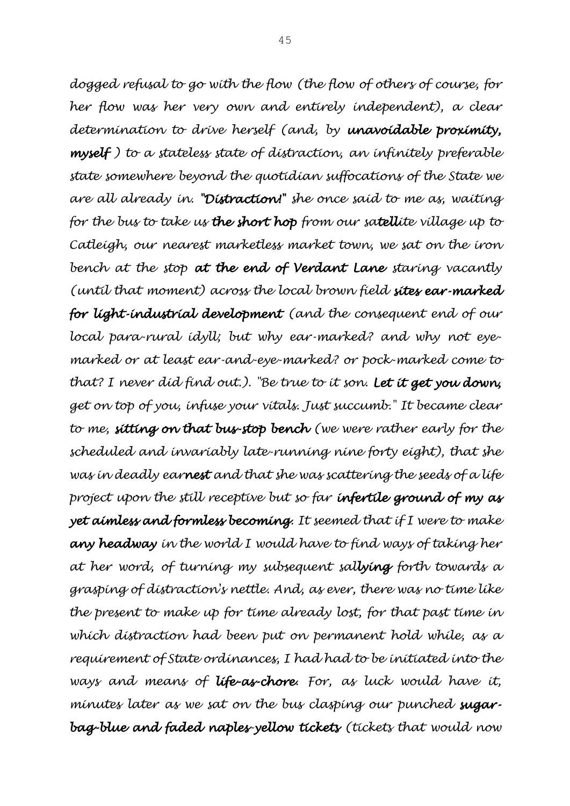*dogged refusal to go with the flow (the flow of others of course, for her flow was her very own and entirely independent), a clear determination to drive herself (and, by unavoidable proximity, myself ) to a stateless state of distraction, an infinitely preferable state somewhere beyond the quotidian suffocations of the State we are all already in. "Distraction!" she once said to me as, waiting for the bus to take us the short hop from our satellite village up to Catleigh, our nearest marketless market town, we sat on the iron bench at the stop at the end of Verdant Lane staring vacantly (until that moment) across the local brown field sites ear-marked for light-industrial development (and the consequent end of our local para-rural idyll; but why ear-marked? and why not eyemarked or at least ear-and-eye-marked? or pock-marked come to that? I never did find out.). "Be true to it son. Let it get you down, get on top of you, infuse your vitals. Just succumb." It became clear to me, sitting on that bus-stop bench (we were rather early for the scheduled and invariably late-running nine forty eight), that she was in deadly earnest and that she was scattering the seeds of a life project upon the still receptive but so far infertile ground of my as yet aimless and formless becoming. It seemed that if I were to make any headway in the world I would have to find ways of taking her at her word, of turning my subsequent sallying forth towards a grasping of distraction's nettle. And, as ever, there was no time like the present to make up for time already lost, for that past time in which distraction had been put on permanent hold while, as a requirement of State ordinances, I had had to be initiated into the ways and means of life-as-chore. For, as luck would have it, minutes later as we sat on the bus clasping our punched sugarbag-blue and faded naples-yellow tickets (tickets that would now*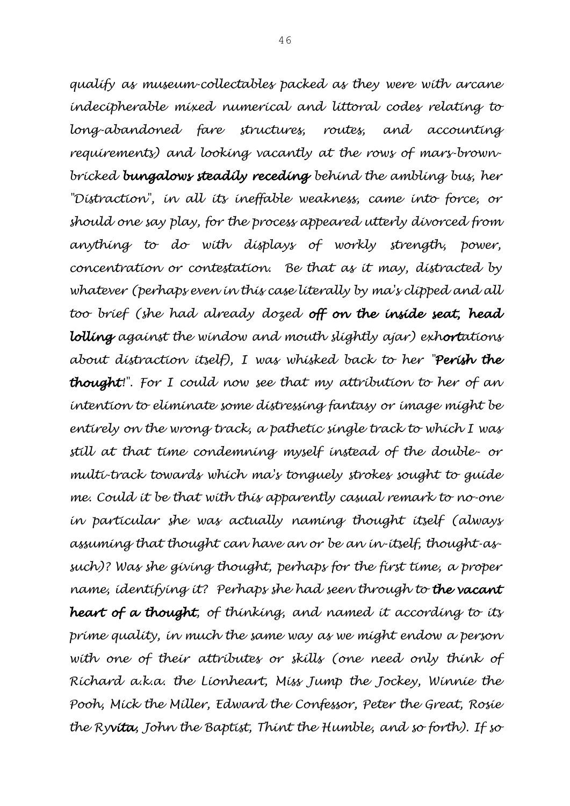*qualify as museum-collectables packed as they were with arcane indecipherable mixed numerical and littoral codes relating to long-abandoned fare structures, routes, and accounting requirements) and looking vacantly at the rows of mars-brownbricked bungalows steadily receding behind the ambling bus, her "Distraction", in all its ineffable weakness, came into force, or should one say play, for the process appeared utterly divorced from anything to do with displays of workly strength, power, concentration or contestation. Be that as it may, distracted by whatever (perhaps even in this case literally by ma's clipped and all too brief (she had already dozed off on the inside seat, head lolling against the window and mouth slightly ajar) exhortations about distraction itself), I was whisked back to her "Perish the thought!". For I could now see that my attribution to her of an intention to eliminate some distressing fantasy or image might be entirely on the wrong track, a pathetic single track to which I was still at that time condemning myself instead of the double- or multi-track towards which ma's tonguely strokes sought to guide me. Could it be that with this apparently casual remark to no-one in particular she was actually naming thought itself (always assuming that thought can have an or be an in-itself, thought-assuch)? Was she giving thought, perhaps for the first time, a proper name, identifying it? Perhaps she had seen through to the vacant heart of a thought, of thinking, and named it according to its prime quality, in much the same way as we might endow a person*  with one of their attributes or skills (one need only think of *Richard a.k.a. the Lionheart, Miss Jump the Jockey, Winnie the Pooh, Mick the Miller, Edward the Confessor, Peter the Great, Rosie the Ryvita, John the Baptist, Thint the Humble, and so forth). If so*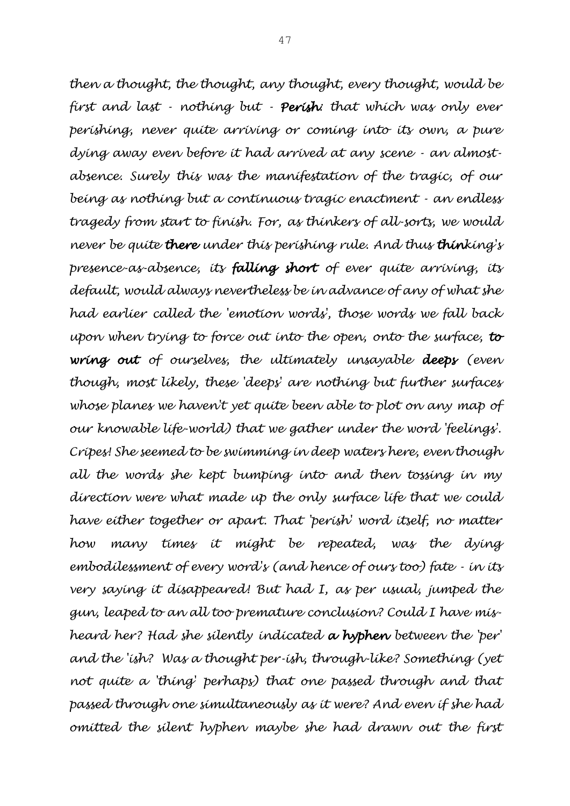*then a thought, the thought, any thought, every thought, would be first and last - nothing but - Perish: that which was only ever perishing, never quite arriving or coming into its own, a pure dying away even before it had arrived at any scene - an almostabsence. Surely this was the manifestation of the tragic, of our being as nothing but a continuous tragic enactment - an endless tragedy from start to finish. For, as thinkers of all-sorts, we would never be quite there under this perishing rule. And thus thinking's presence-as-absence, its falling short of ever quite arriving, its default, would always nevertheless be in advance of any of what she had earlier called the 'emotion words', those words we fall back upon when trying to force out into the open, onto the surface, to wring out of ourselves, the ultimately unsayable deeps (even though, most likely, these 'deeps' are nothing but further surfaces*  whose planes we haven't yet quite been able to plot on any map of *our knowable life-world) that we gather under the word 'feelings'. Cripes! She seemed to be swimming in deep waters here, even though all the words she kept bumping into and then tossing in my direction were what made up the only surface life that we could have either together or apart. That 'perish' word itself, no matter how many times it might be repeated, was the dying embodilessment of every word's (and hence of ours too) fate - in its very saying it disappeared! But had I, as per usual, jumped the gun, leaped to an all too premature conclusion? Could I have misheard her? Had she silently indicated a hyphen between the 'per' and the 'ish? Was a thought per-ish, through-like? Something (yet not quite a 'thing' perhaps) that one passed through and that passed through one simultaneously as it were? And even if she had omitted the silent hyphen maybe she had drawn out the first*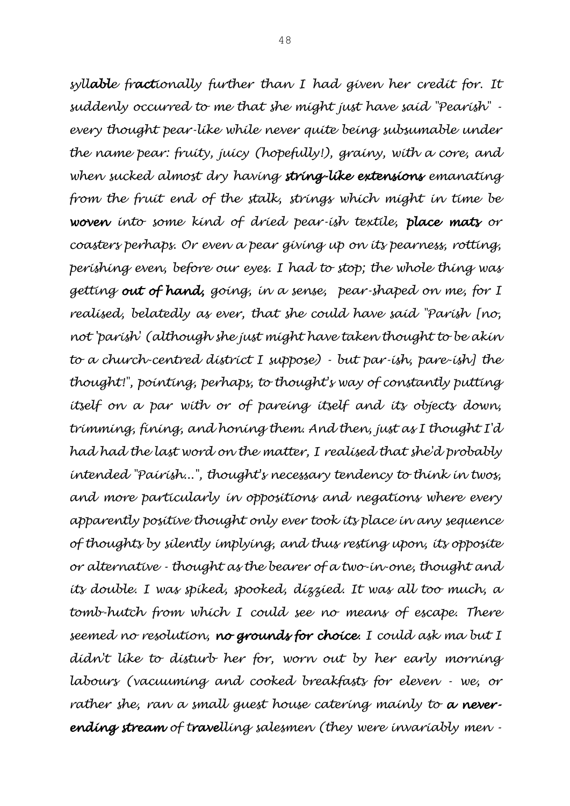*syllable fractionally further than I had given her credit for. It suddenly occurred to me that she might just have said "Pearish" every thought pear-like while never quite being subsumable under the name pear: fruity, juicy (hopefully!), grainy, with a core, and when sucked almost dry having string-like extensions emanating from the fruit end of the stalk, strings which might in time be woven into some kind of dried pear-ish textile, place mats or coasters perhaps. Or even a pear giving up on its pearness, rotting, perishing even, before our eyes. I had to stop; the whole thing was getting out of hand, going, in a sense, pear-shaped on me, for I realised, belatedly as ever, that she could have said "Parish [no, not 'parish' (although she just might have taken thought to be akin to a church-centred district I suppose) - but par-ish, pare-ish] the thought!", pointing, perhaps, to thought's way of constantly putting itself on a par with or of pareing itself and its objects down, trimming, fining, and honing them. And then, just as I thought I'd had had the last word on the matter, I realised that she'd probably intended "Pairish...", thought's necessary tendency to think in twos, and more particularly in oppositions and negations where every apparently positive thought only ever took its place in any sequence of thoughts by silently implying, and thus resting upon, its opposite or alternative - thought as the bearer of a two-in-one, thought and its double. I was spiked, spooked, dizzied. It was all too much, a tomb-hutch from which I could see no means of escape. There seemed no resolution, no grounds for choice. I could ask ma but I didn't like to disturb her for, worn out by her early morning labours (vacuuming and cooked breakfasts for eleven - we, or rather she, ran a small guest house catering mainly to a neverending stream of travelling salesmen (they were invariably men -*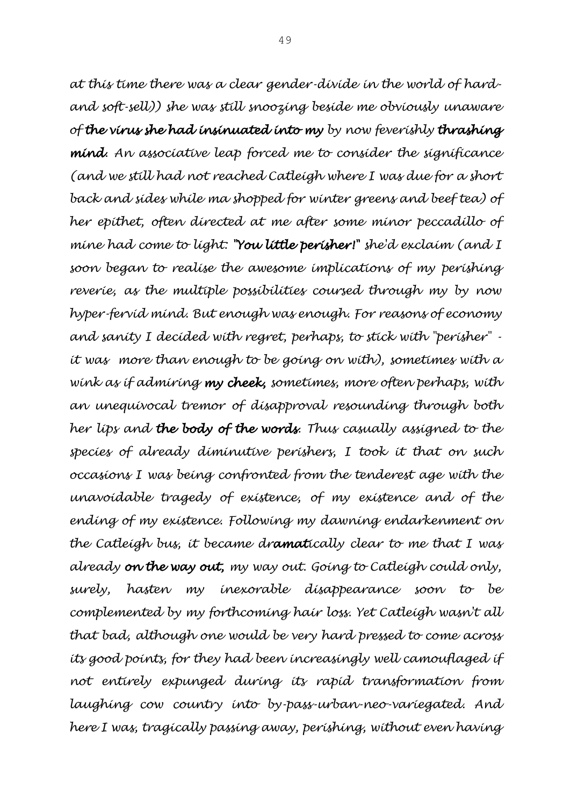*at this time there was a clear gender-divide in the world of hardand soft-sell)) she was still snoozing beside me obviously unaware of the virus she had insinuated into my by now feverishly thrashing mind. An associative leap forced me to consider the significance (and we still had not reached Catleigh where I was due for a short back and sides while ma shopped for winter greens and beef tea) of her epithet, often directed at me after some minor peccadillo of mine had come to light: "You little perisher!" she'd exclaim (and I soon began to realise the awesome implications of my perishing reverie, as the multiple possibilities coursed through my by now hyper-fervid mind. But enough was enough. For reasons of economy and sanity I decided with regret, perhaps, to stick with "perisher" it was more than enough to be going on with), sometimes with a wink as if admiring my cheek, sometimes, more often perhaps, with an unequivocal tremor of disapproval resounding through both her lips and the body of the words. Thus casually assigned to the species of already diminutive perishers, I took it that on such occasions I was being confronted from the tenderest age with the unavoidable tragedy of existence, of my existence and of the ending of my existence. Following my dawning endarkenment on the Catleigh bus, it became dramatically clear to me that I was already on the way out, my way out. Going to Catleigh could only, surely, hasten my inexorable disappearance soon to be complemented by my forthcoming hair loss. Yet Catleigh wasn't all that bad, although one would be very hard pressed to come across its good points, for they had been increasingly well camouflaged if not entirely expunged during its rapid transformation from laughing cow country into by-pass-urban-neo-variegated. And here I was, tragically passing away, perishing, without even having*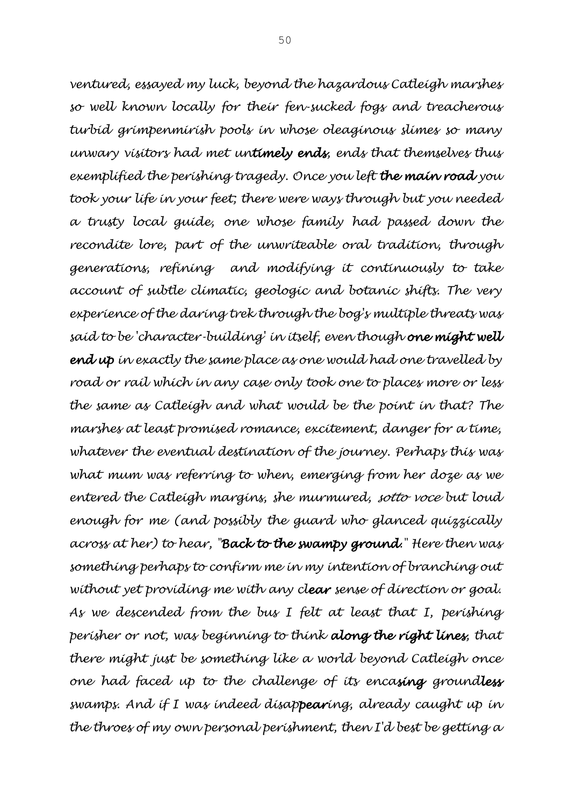*ventured, essayed my luck, beyond the hazardous Catleigh marshes so well known locally for their fen-sucked fogs and treacherous turbid grimpenmirish pools in whose oleaginous slimes so many unwary visitors had met untimely ends, ends that themselves thus exemplified the perishing tragedy. Once you left the main road you took your life in your feet; there were ways through but you needed a trusty local guide, one whose family had passed down the recondite lore, part of the unwriteable oral tradition, through generations, refining and modifying it continuously to take account of subtle climatic, geologic and botanic shifts. The very experience of the daring trek through the bog's multiple threats was said to be 'character-building' in itself, even though one might well end up in exactly the same place as one would had one travelled by road or rail which in any case only took one to places more or less the same as Catleigh and what would be the point in that? The marshes at least promised romance, excitement, danger for a time, whatever the eventual destination of the journey. Perhaps this was what mum was referring to when, emerging from her doze as we entered the Catleigh margins, she murmured, sotto voce but loud enough for me (and possibly the guard who glanced quizzically across at her) to hear, "Back to the swampy ground." Here then was something perhaps to confirm me in my intention of branching out without yet providing me with any clear sense of direction or goal. As we descended from the bus I felt at least that I, perishing perisher or not, was beginning to think along the right lines, that there might just be something like a world beyond Catleigh once one had faced up to the challenge of its encasing groundless swamps. And if I was indeed disappearing, already caught up in the throes of my own personal perishment, then I'd best be getting a*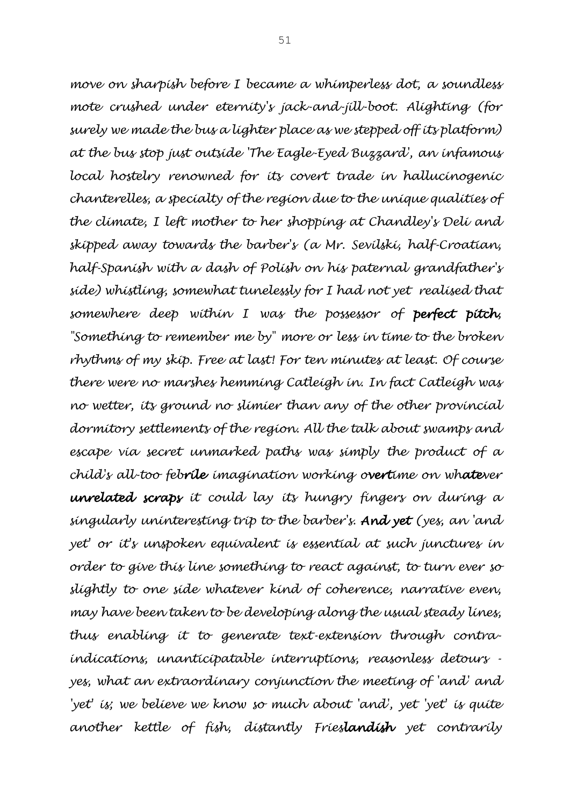*move on sharpish before I became a whimperless dot, a soundless mote crushed under eternity's jack-and-jill-boot. Alighting (for surely we made the bus a lighter place as we stepped off its platform) at the bus stop just outside 'The Eagle-Eyed Buzzard', an infamous local hostelry renowned for its covert trade in hallucinogenic chanterelles, a specialty of the region due to the unique qualities of the climate, I left mother to her shopping at Chandley's Deli and skipped away towards the barber's (a Mr. Sevilski, half-Croatian, half-Spanish with a dash of Polish on his paternal grandfather's side) whistling, somewhat tunelessly for I had not yet realised that somewhere deep within I was the possessor of perfect pitch, "Something to remember me by" more or less in time to the broken rhythms of my skip. Free at last! For ten minutes at least. Of course there were no marshes hemming Catleigh in. In fact Catleigh was no wetter, its ground no slimier than any of the other provincial dormitory settlements of the region. All the talk about swamps and escape via secret unmarked paths was simply the product of a child's all-too febrile imagination working overtime on whatever unrelated scraps it could lay its hungry fingers on during a singularly uninteresting trip to the barber's. And yet (yes, an 'and yet' or it's unspoken equivalent is essential at such junctures in order to give this line something to react against, to turn ever so slightly to one side whatever kind of coherence, narrative even, may have been taken to be developing along the usual steady lines, thus enabling it to generate text-extension through contraindications, unanticipatable interruptions, reasonless detours yes, what an extraordinary conjunction the meeting of 'and' and 'yet' is; we believe we know so much about 'and', yet 'yet' is quite another kettle of fish, distantly Frieslandish yet contrarily*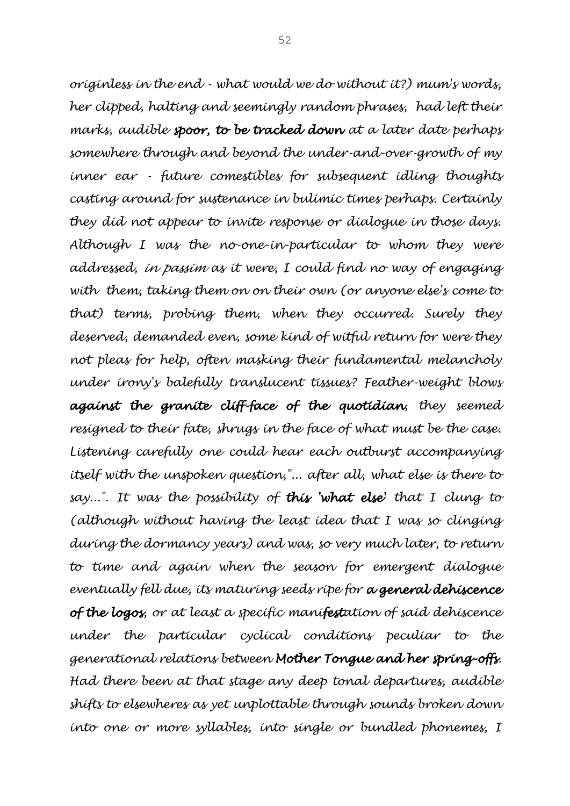*originless in the end - what would we do without it?) mum's words, her clipped, halting and seemingly random phrases, had left their marks, audible spoor, to be tracked down at a later date perhaps somewhere through and beyond the under-and-over-growth of my inner ear - future comestibles for subsequent idling thoughts casting around for sustenance in bulimic times perhaps. Certainly they did not appear to invite response or dialogue in those days. Although I was the no-one-in-particular to whom they were addressed, in passim as it were, I could find no way of engaging with them, taking them on on their own (or anyone else's come to that) terms, probing them, when they occurred. Surely they deserved, demanded even, some kind of witful return for were they not pleas for help, often masking their fundamental melancholy under irony's balefully translucent tissues? Feather-weight blows against the granite cliff-face of the quotidian, they seemed resigned to their fate, shrugs in the face of what must be the case. Listening carefully one could hear each outburst accompanying itself with the unspoken question,"... after all, what else is there to say...". It was the possibility of this 'what else' that I clung to (although without having the least idea that I was so clinging during the dormancy years) and was, so very much later, to return to time and again when the season for emergent dialogue eventually fell due, its maturing seeds ripe for a general dehiscence of the logos, or at least a specific manifestation of said dehiscence under the particular cyclical conditions peculiar to the generational relations between Mother Tongue and her spring-offs. Had there been at that stage any deep tonal departures, audible shifts to elsewheres as yet unplottable through sounds broken down into one or more syllables, into single or bundled phonemes, I*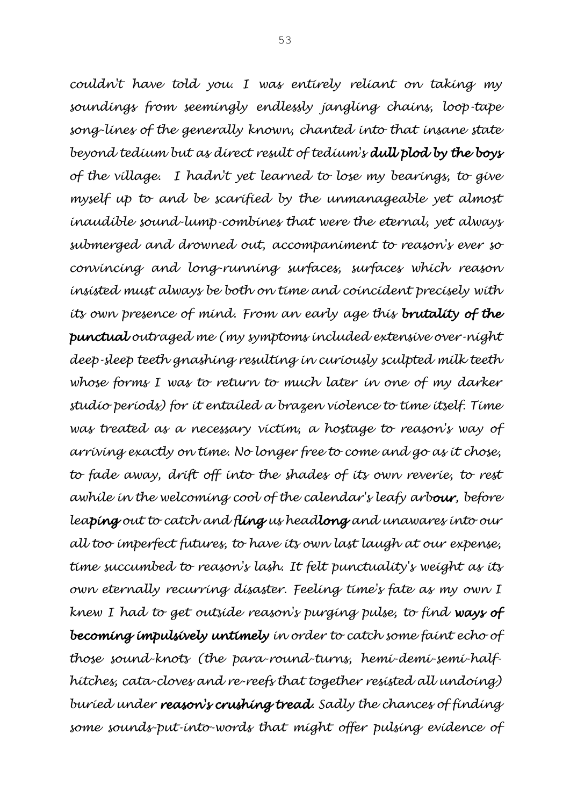*couldn't have told you. I was entirely reliant on taking my soundings from seemingly endlessly jangling chains, loop-tape song-lines of the generally known, chanted into that insane state beyond tedium but as direct result of tedium's dull plod by the boys of the village. I hadn't yet learned to lose my bearings, to give myself up to and be scarified by the unmanageable yet almost inaudible sound-lump-combines that were the eternal, yet always submerged and drowned out, accompaniment to reason's ever so convincing and long-running surfaces, surfaces which reason insisted must always be both on time and coincident precisely with its own presence of mind. From an early age this brutality of the punctual outraged me (my symptoms included extensive over-night deep-sleep teeth gnashing resulting in curiously sculpted milk teeth whose forms I was to return to much later in one of my darker studio periods) for it entailed a brazen violence to time itself. Time was treated as a necessary victim, a hostage to reason's way of arriving exactly on time. No longer free to come and go as it chose,*  to fade away, drift off into the shades of its own reverie, to rest *awhile in the welcoming cool of the calendar's leafy arbour, before leaping out to catch and fling us headlong and unawares into our all too imperfect futures, to have its own last laugh at our expense, time succumbed to reason's lash. It felt punctuality's weight as its own eternally recurring disaster. Feeling time's fate as my own I knew I had to get outside reason's purging pulse, to find ways of becoming impulsively untimely in order to catch some faint echo of those sound-knots (the para-round-turns, hemi-demi-semi-halfhitches, cata-cloves and re-reefs that together resisted all undoing) buried under reason's crushing tread. Sadly the chances of finding some sounds-put-into-words that might offer pulsing evidence of*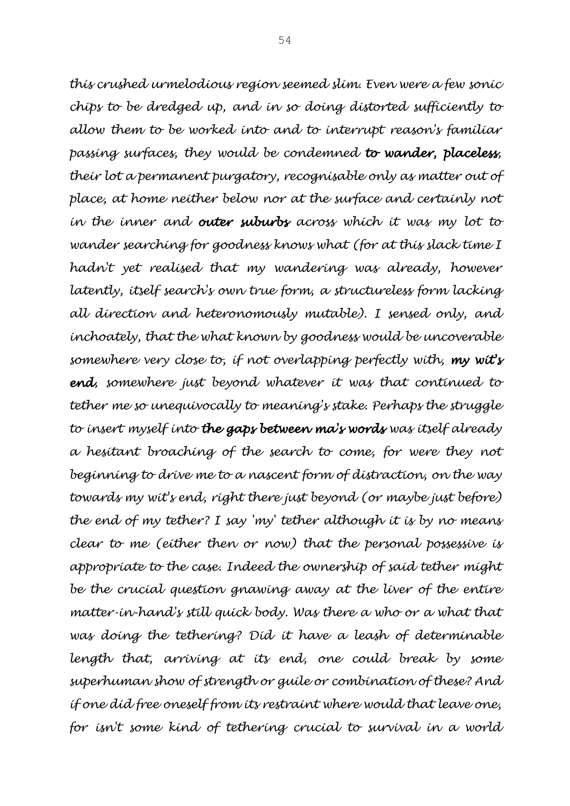*this crushed urmelodious region seemed slim. Even were a few sonic chips to be dredged up, and in so doing distorted sufficiently to allow them to be worked into and to interrupt reason's familiar passing surfaces, they would be condemned to wander, placeless, their lot a permanent purgatory, recognisable only as matter out of place, at home neither below nor at the surface and certainly not in the inner and outer suburbs across which it was my lot to wander searching for goodness knows what (for at this slack time I hadn't yet realised that my wandering was already, however latently, itself search's own true form, a structureless form lacking all direction and heteronomously mutable). I sensed only, and inchoately, that the what known by goodness would be uncoverable somewhere very close to, if not overlapping perfectly with, my wit's end, somewhere just beyond whatever it was that continued to tether me so unequivocally to meaning's stake. Perhaps the struggle to insert myself into the gaps between ma's words was itself already a hesitant broaching of the search to come, for were they not beginning to drive me to a nascent form of distraction, on the way towards my wit's end, right there just beyond (or maybe just before) the end of my tether? I say 'my' tether although it is by no means clear to me (either then or now) that the personal possessive is appropriate to the case. Indeed the ownership of said tether might be the crucial question gnawing away at the liver of the entire matter-in-hand's still quick body. Was there a who or a what that was doing the tethering? Did it have a leash of determinable length that, arriving at its end, one could break by some superhuman show of strength or guile or combination of these? And if one did free oneself from its restraint where would that leave one, for isn't some kind of tethering crucial to survival in a world*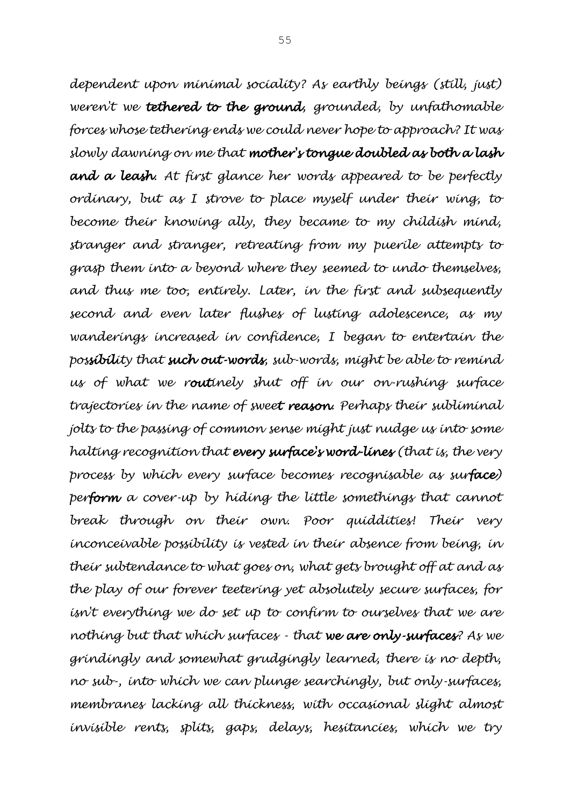*dependent upon minimal sociality? As earthly beings (still, just) weren't we tethered to the ground, grounded, by unfathomable forces whose tethering ends we could never hope to approach? It was slowly dawning on me that mother's tongue doubled as both a lash and a leash. At first glance her words appeared to be perfectly ordinary, but as I strove to place myself under their wing, to become their knowing ally, they became to my childish mind, stranger and stranger, retreating from my puerile attempts to grasp them into a beyond where they seemed to undo themselves, and thus me too, entirely. Later, in the first and subsequently second and even later flushes of lusting adolescence, as my wanderings increased in confidence, I began to entertain the possibility that such out-words, sub-words, might be able to remind us of what we routinely shut off in our on-rushing surface trajectories in the name of sweet reason. Perhaps their subliminal jolts to the passing of common sense might just nudge us into some halting recognition that every surface's word-lines (that is, the very process by which every surface becomes recognisable as surface) perform a cover-up by hiding the little somethings that cannot break through on their own. Poor quiddities! Their very inconceivable possibility is vested in their absence from being, in their subtendance to what goes on, what gets brought off at and as the play of our forever teetering yet absolutely secure surfaces, for isn't everything we do set up to confirm to ourselves that we are nothing but that which surfaces - that we are only-surfaces? As we grindingly and somewhat grudgingly learned, there is no depth, no sub-, into which we can plunge searchingly, but only-surfaces, membranes lacking all thickness, with occasional slight almost invisible rents, splits, gaps, delays, hesitancies, which we try*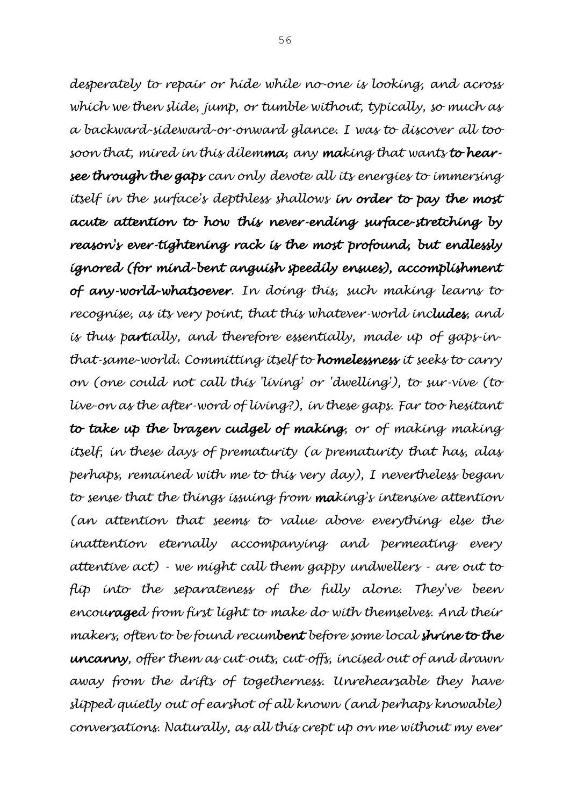*desperately to repair or hide while no-one is looking, and across which we then slide, jump, or tumble without, typically, so much as a backward-sideward-or-onward glance. I was to discover all too soon that, mired in this dilemma, any making that wants to hearsee through the gaps can only devote all its energies to immersing itself in the surface's depthless shallows in order to pay the most acute attention to how this never-ending surface-stretching by reason's ever-tightening rack is the most profound, but endlessly ignored (for mind-bent anguish speedily ensues), accomplishment of any-world-whatsoever. In doing this, such making learns to recognise, as its very point, that this whatever-world includes, and is thus partially, and therefore essentially, made up of gaps-inthat-same-world. Committing itself to homelessness it seeks to carry on (one could not call this 'living' or 'dwelling'), to sur-vive (to live-on as the after-word of living?), in these gaps. Far too hesitant to take up the brazen cudgel of making, or of making making itself, in these days of prematurity (a prematurity that has, alas perhaps, remained with me to this very day), I nevertheless began to sense that the things issuing from making's intensive attention (an attention that seems to value above everything else the inattention eternally accompanying and permeating every attentive act) - we might call them gappy undwellers - are out to flip into the separateness of the fully alone. They've been encouraged from first light to make do with themselves. And their makers, often to be found recumbent before some local shrine to the uncanny, offer them as cut-outs, cut-offs, incised out of and drawn away from the drifts of togetherness. Unrehearsable they have slipped quietly out of earshot of all known (and perhaps knowable) conversations. Naturally, as all this crept up on me without my ever*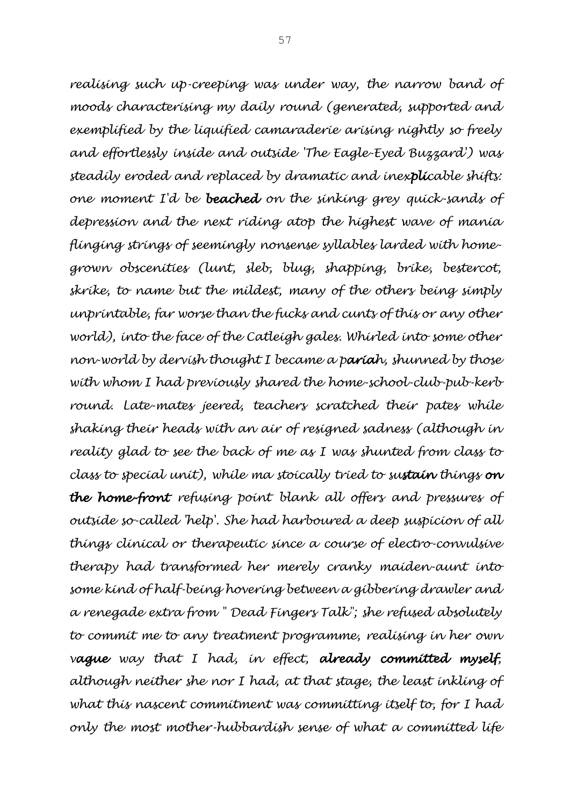*realising such up-creeping was under way, the narrow band of moods characterising my daily round (generated, supported and exemplified by the liquified camaraderie arising nightly so freely and effortlessly inside and outside 'The Eagle-Eyed Buzzard') was steadily eroded and replaced by dramatic and inexplicable shifts: one moment I'd be beached on the sinking grey quick-sands of depression and the next riding atop the highest wave of mania flinging strings of seemingly nonsense syllables larded with homegrown obscenities (lunt, sleb, blug, shapping, brike, bestercot, skrike, to name but the mildest, many of the others being simply unprintable, far worse than the fucks and cunts of this or any other world), into the face of the Catleigh gales. Whirled into some other non-world by dervish thought I became a pariah, shunned by those with whom I had previously shared the home-school-club-pub-kerb round. Late-mates jeered, teachers scratched their pates while shaking their heads with an air of resigned sadness (although in reality glad to see the back of me as I was shunted from class to class to special unit), while ma stoically tried to sustain things on the home-front refusing point blank all offers and pressures of outside so-called 'help'. She had harboured a deep suspicion of all things clinical or therapeutic since a course of electro-convulsive therapy had transformed her merely cranky maiden-aunt into some kind of half-being hovering between a gibbering drawler and a renegade extra from " Dead Fingers Talk"; she refused absolutely to commit me to any treatment programme, realising in her own vague way that I had, in effect, already committed myself, although neither she nor I had, at that stage, the least inkling of what this nascent commitment was committing itself to, for I had only the most mother-hubbardish sense of what a committed life*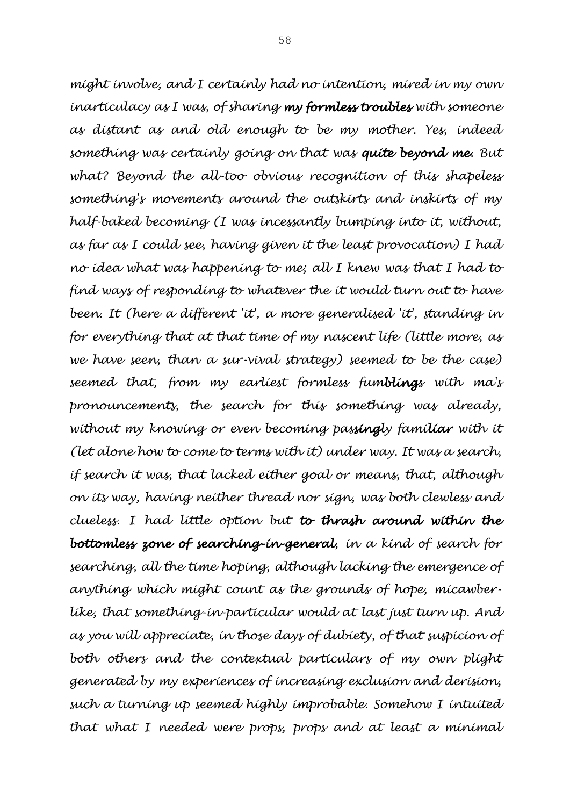*might involve, and I certainly had no intention, mired in my own inarticulacy as I was, of sharing my formless troubles with someone as distant as and old enough to be my mother. Yes, indeed something was certainly going on that was quite beyond me. But what? Beyond the all-too obvious recognition of this shapeless something's movements around the outskirts and inskirts of my half-baked becoming (I was incessantly bumping into it, without, as far as I could see, having given it the least provocation) I had no idea what was happening to me; all I knew was that I had to find ways of responding to whatever the it would turn out to have been. It (here a different 'it', a more generalised 'it', standing in for everything that at that time of my nascent life (little more, as we have seen, than a sur-vival strategy) seemed to be the case) seemed that, from my earliest formless fumblings with ma's pronouncements, the search for this something was already,*  without my knowing or even becoming passingly familiar with it *(let alone how to come to terms with it) under way. It was a search, if search it was, that lacked either goal or means, that, although on its way, having neither thread nor sign, was both clewless and clueless. I had little option but to thrash around within the bottomless zone of searching-in-general, in a kind of search for searching, all the time hoping, although lacking the emergence of anything which might count as the grounds of hope, micawberlike, that something-in-particular would at last just turn up. And as you will appreciate, in those days of dubiety, of that suspicion of both others and the contextual particulars of my own plight generated by my experiences of increasing exclusion and derision, such a turning up seemed highly improbable. Somehow I intuited that what I needed were props, props and at least a minimal*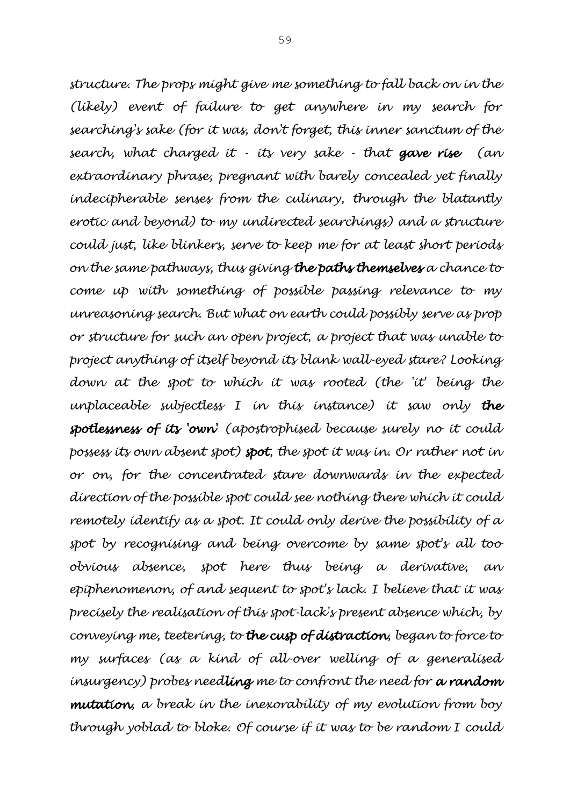*structure. The props might give me something to fall back on in the (likely) event of failure to get anywhere in my search for searching's sake (for it was, don't forget, this inner sanctum of the search, what charged it - its very sake - that gave rise (an extraordinary phrase, pregnant with barely concealed yet finally indecipherable senses from the culinary, through the blatantly erotic and beyond) to my undirected searchings) and a structure could just, like blinkers, serve to keep me for at least short periods on the same pathways, thus giving the paths themselves a chance to come up with something of possible passing relevance to my unreasoning search. But what on earth could possibly serve as prop or structure for such an open project, a project that was unable to project anything of itself beyond its blank wall-eyed stare? Looking down at the spot to which it was rooted (the 'it' being the unplaceable subjectless I in this instance) it saw only the spotlessness of its 'own' (apostrophised because surely no it could possess its own absent spot) spot, the spot it was in. Or rather not in or on, for the concentrated stare downwards in the expected direction of the possible spot could see nothing there which it could remotely identify as a spot. It could only derive the possibility of a spot by recognising and being overcome by same spot's all too obvious absence, spot here thus being a derivative, an epiphenomenon, of and sequent to spot's lack. I believe that it was precisely the realisation of this spot-lack's present absence which, by conveying me, teetering, to the cusp of distraction, began to force to my surfaces (as a kind of all-over welling of a generalised insurgency) probes needling me to confront the need for a random mutation, a break in the inexorability of my evolution from boy through yoblad to bloke. Of course if it was to be random I could*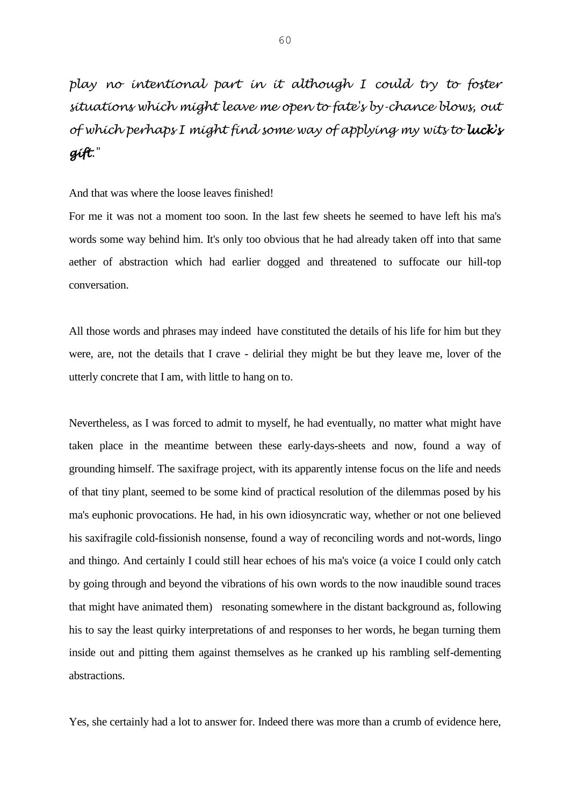## *play no intentional part in it although I could try to foster situations which might leave me open to fate's by-chance blows, out of which perhaps I might find some way of applying my wits to luck's gift."*

## And that was where the loose leaves finished!

For me it was not a moment too soon. In the last few sheets he seemed to have left his ma's words some way behind him. It's only too obvious that he had already taken off into that same aether of abstraction which had earlier dogged and threatened to suffocate our hill-top conversation.

All those words and phrases may indeed have constituted the details of his life for him but they were, are, not the details that I crave - delirial they might be but they leave me, lover of the utterly concrete that I am, with little to hang on to.

Nevertheless, as I was forced to admit to myself, he had eventually, no matter what might have taken place in the meantime between these early-days-sheets and now, found a way of grounding himself. The saxifrage project, with its apparently intense focus on the life and needs of that tiny plant, seemed to be some kind of practical resolution of the dilemmas posed by his ma's euphonic provocations. He had, in his own idiosyncratic way, whether or not one believed his saxifragile cold-fissionish nonsense, found a way of reconciling words and not-words, lingo and thingo. And certainly I could still hear echoes of his ma's voice (a voice I could only catch by going through and beyond the vibrations of his own words to the now inaudible sound traces that might have animated them) resonating somewhere in the distant background as, following his to say the least quirky interpretations of and responses to her words, he began turning them inside out and pitting them against themselves as he cranked up his rambling self-dementing abstractions.

Yes, she certainly had a lot to answer for. Indeed there was more than a crumb of evidence here,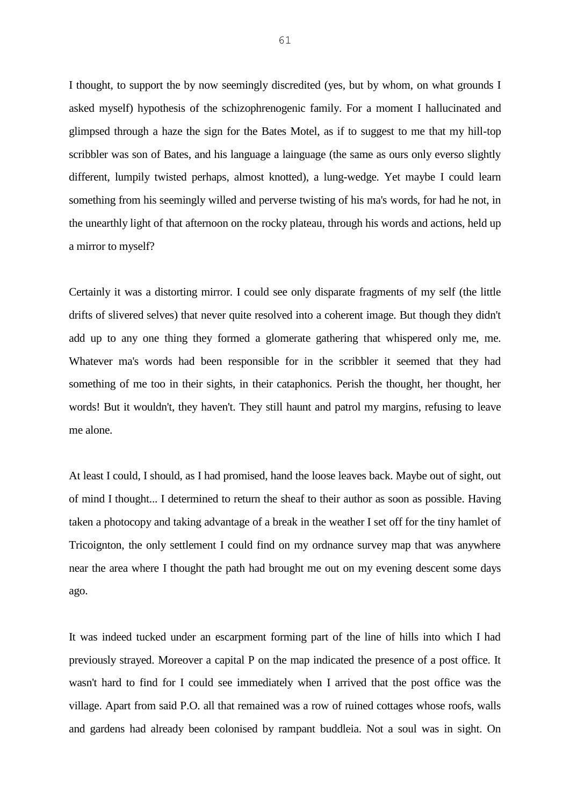I thought, to support the by now seemingly discredited (yes, but by whom, on what grounds I asked myself) hypothesis of the schizophrenogenic family. For a moment I hallucinated and glimpsed through a haze the sign for the Bates Motel, as if to suggest to me that my hill-top scribbler was son of Bates, and his language a lainguage (the same as ours only everso slightly different, lumpily twisted perhaps, almost knotted), a lung-wedge. Yet maybe I could learn something from his seemingly willed and perverse twisting of his ma's words, for had he not, in the unearthly light of that afternoon on the rocky plateau, through his words and actions, held up a mirror to myself?

Certainly it was a distorting mirror. I could see only disparate fragments of my self (the little drifts of slivered selves) that never quite resolved into a coherent image. But though they didn't add up to any one thing they formed a glomerate gathering that whispered only me, me. Whatever ma's words had been responsible for in the scribbler it seemed that they had something of me too in their sights, in their cataphonics. Perish the thought, her thought, her words! But it wouldn't, they haven't. They still haunt and patrol my margins, refusing to leave me alone.

At least I could, I should, as I had promised, hand the loose leaves back. Maybe out of sight, out of mind I thought... I determined to return the sheaf to their author as soon as possible. Having taken a photocopy and taking advantage of a break in the weather I set off for the tiny hamlet of Tricoignton, the only settlement I could find on my ordnance survey map that was anywhere near the area where I thought the path had brought me out on my evening descent some days ago.

It was indeed tucked under an escarpment forming part of the line of hills into which I had previously strayed. Moreover a capital P on the map indicated the presence of a post office. It wasn't hard to find for I could see immediately when I arrived that the post office was the village. Apart from said P.O. all that remained was a row of ruined cottages whose roofs, walls and gardens had already been colonised by rampant buddleia. Not a soul was in sight. On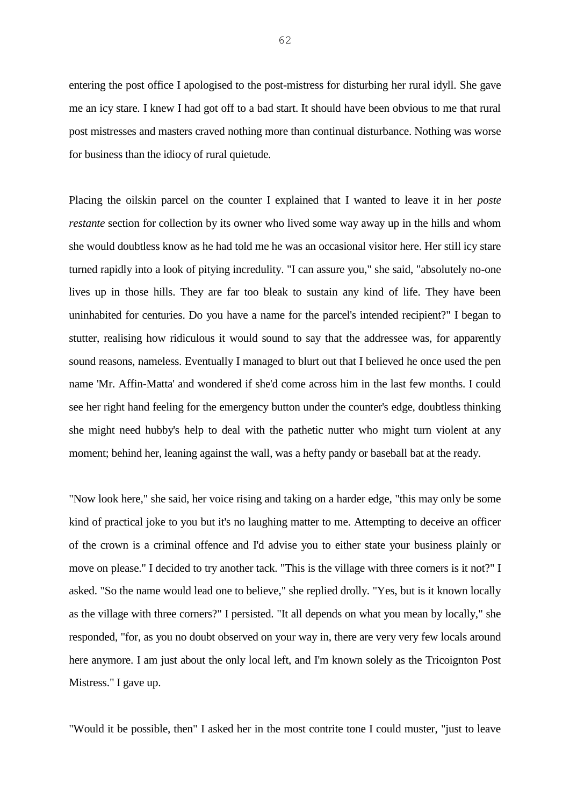entering the post office I apologised to the post-mistress for disturbing her rural idyll. She gave me an icy stare. I knew I had got off to a bad start. It should have been obvious to me that rural post mistresses and masters craved nothing more than continual disturbance. Nothing was worse for business than the idiocy of rural quietude.

Placing the oilskin parcel on the counter I explained that I wanted to leave it in her *poste restante* section for collection by its owner who lived some way away up in the hills and whom she would doubtless know as he had told me he was an occasional visitor here. Her still icy stare turned rapidly into a look of pitying incredulity. "I can assure you," she said, "absolutely no-one lives up in those hills. They are far too bleak to sustain any kind of life. They have been uninhabited for centuries. Do you have a name for the parcel's intended recipient?" I began to stutter, realising how ridiculous it would sound to say that the addressee was, for apparently sound reasons, nameless. Eventually I managed to blurt out that I believed he once used the pen name 'Mr. Affin-Matta' and wondered if she'd come across him in the last few months. I could see her right hand feeling for the emergency button under the counter's edge, doubtless thinking she might need hubby's help to deal with the pathetic nutter who might turn violent at any moment; behind her, leaning against the wall, was a hefty pandy or baseball bat at the ready.

"Now look here," she said, her voice rising and taking on a harder edge, "this may only be some kind of practical joke to you but it's no laughing matter to me. Attempting to deceive an officer of the crown is a criminal offence and I'd advise you to either state your business plainly or move on please." I decided to try another tack. "This is the village with three corners is it not?" I asked. "So the name would lead one to believe," she replied drolly. "Yes, but is it known locally as the village with three corners?" I persisted. "It all depends on what you mean by locally," she responded, "for, as you no doubt observed on your way in, there are very very few locals around here anymore. I am just about the only local left, and I'm known solely as the Tricoignton Post Mistress." I gave up.

"Would it be possible, then" I asked her in the most contrite tone I could muster, "just to leave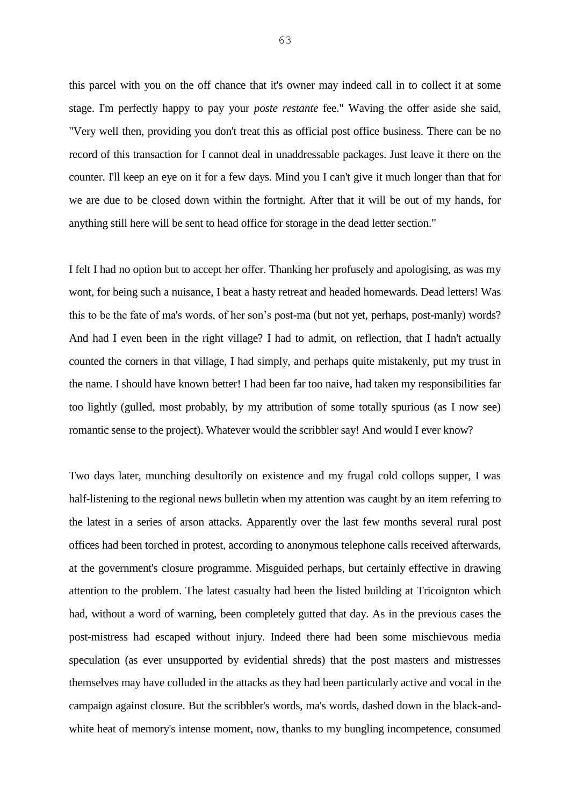this parcel with you on the off chance that it's owner may indeed call in to collect it at some stage. I'm perfectly happy to pay your *poste restante* fee." Waving the offer aside she said, "Very well then, providing you don't treat this as official post office business. There can be no record of this transaction for I cannot deal in unaddressable packages. Just leave it there on the counter. I'll keep an eye on it for a few days. Mind you I can't give it much longer than that for we are due to be closed down within the fortnight. After that it will be out of my hands, for anything still here will be sent to head office for storage in the dead letter section."

I felt I had no option but to accept her offer. Thanking her profusely and apologising, as was my wont, for being such a nuisance, I beat a hasty retreat and headed homewards. Dead letters! Was this to be the fate of ma's words, of her son's post-ma (but not yet, perhaps, post-manly) words? And had I even been in the right village? I had to admit, on reflection, that I hadn't actually counted the corners in that village, I had simply, and perhaps quite mistakenly, put my trust in the name. I should have known better! I had been far too naive, had taken my responsibilities far too lightly (gulled, most probably, by my attribution of some totally spurious (as I now see) romantic sense to the project). Whatever would the scribbler say! And would I ever know?

Two days later, munching desultorily on existence and my frugal cold collops supper, I was half-listening to the regional news bulletin when my attention was caught by an item referring to the latest in a series of arson attacks. Apparently over the last few months several rural post offices had been torched in protest, according to anonymous telephone calls received afterwards, at the government's closure programme. Misguided perhaps, but certainly effective in drawing attention to the problem. The latest casualty had been the listed building at Tricoignton which had, without a word of warning, been completely gutted that day. As in the previous cases the post-mistress had escaped without injury. Indeed there had been some mischievous media speculation (as ever unsupported by evidential shreds) that the post masters and mistresses themselves may have colluded in the attacks as they had been particularly active and vocal in the campaign against closure. But the scribbler's words, ma's words, dashed down in the black-andwhite heat of memory's intense moment, now, thanks to my bungling incompetence, consumed